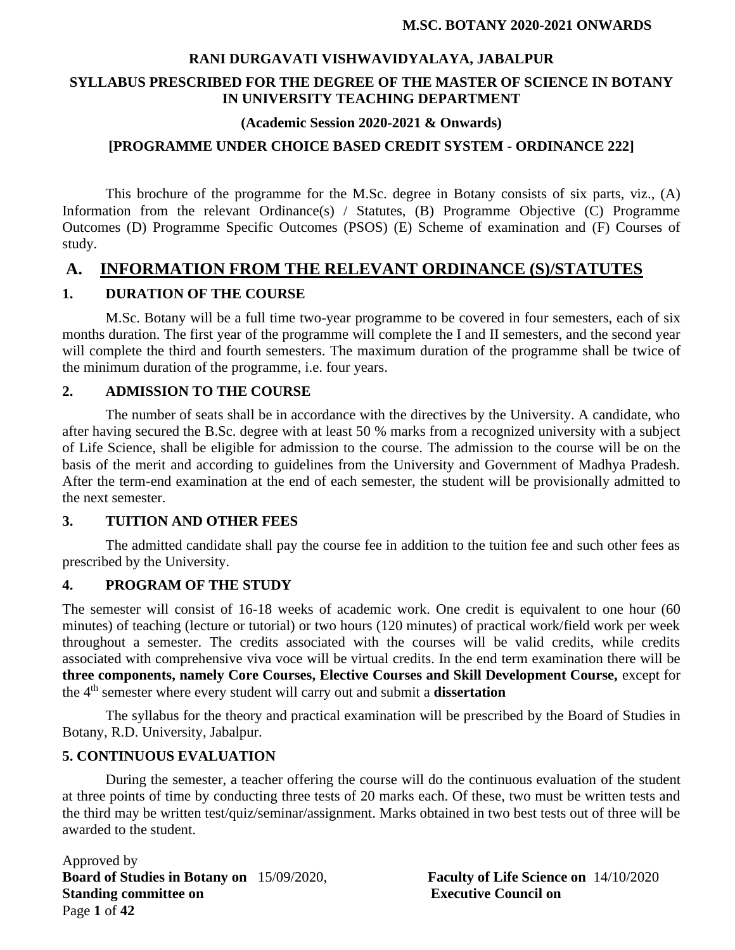## **RANI DURGAVATI VISHWAVIDYALAYA, JABALPUR SYLLABUS PRESCRIBED FOR THE DEGREE OF THE MASTER OF SCIENCE IN BOTANY IN UNIVERSITY TEACHING DEPARTMENT**

#### **(Academic Session 2020-2021 & Onwards)**

#### **[PROGRAMME UNDER CHOICE BASED CREDIT SYSTEM - ORDINANCE 222]**

This brochure of the programme for the M.Sc. degree in Botany consists of six parts, viz., (A) Information from the relevant Ordinance(s) / Statutes, (B) Programme Objective (C) Programme Outcomes (D) Programme Specific Outcomes (PSOS) (E) Scheme of examination and (F) Courses of study.

## **A. INFORMATION FROM THE RELEVANT ORDINANCE (S)/STATUTES**

#### **1. DURATION OF THE COURSE**

M.Sc. Botany will be a full time two-year programme to be covered in four semesters, each of six months duration. The first year of the programme will complete the I and II semesters, and the second year will complete the third and fourth semesters. The maximum duration of the programme shall be twice of the minimum duration of the programme, i.e. four years.

#### **2. ADMISSION TO THE COURSE**

The number of seats shall be in accordance with the directives by the University. A candidate, who after having secured the B.Sc. degree with at least 50 % marks from a recognized university with a subject of Life Science, shall be eligible for admission to the course. The admission to the course will be on the basis of the merit and according to guidelines from the University and Government of Madhya Pradesh. After the term-end examination at the end of each semester, the student will be provisionally admitted to the next semester.

#### **3. TUITION AND OTHER FEES**

The admitted candidate shall pay the course fee in addition to the tuition fee and such other fees as prescribed by the University.

#### **4. PROGRAM OF THE STUDY**

The semester will consist of 16-18 weeks of academic work. One credit is equivalent to one hour (60 minutes) of teaching (lecture or tutorial) or two hours (120 minutes) of practical work/field work per week throughout a semester. The credits associated with the courses will be valid credits, while credits associated with comprehensive viva voce will be virtual credits. In the end term examination there will be **three components, namely Core Courses, Elective Courses and Skill Development Course,** except for the 4th semester where every student will carry out and submit a **dissertation**

The syllabus for the theory and practical examination will be prescribed by the Board of Studies in Botany, R.D. University, Jabalpur.

#### **5. CONTINUOUS EVALUATION**

During the semester, a teacher offering the course will do the continuous evaluation of the student at three points of time by conducting three tests of 20 marks each. Of these, two must be written tests and the third may be written test/quiz/seminar/assignment. Marks obtained in two best tests out of three will be awarded to the student.

Approved by **Board of Studies in Botany on** 15/09/2020, **Faculty of Life Science on** 14/10/2020 **Standing committee on Executive Council on** Page **1** of **42**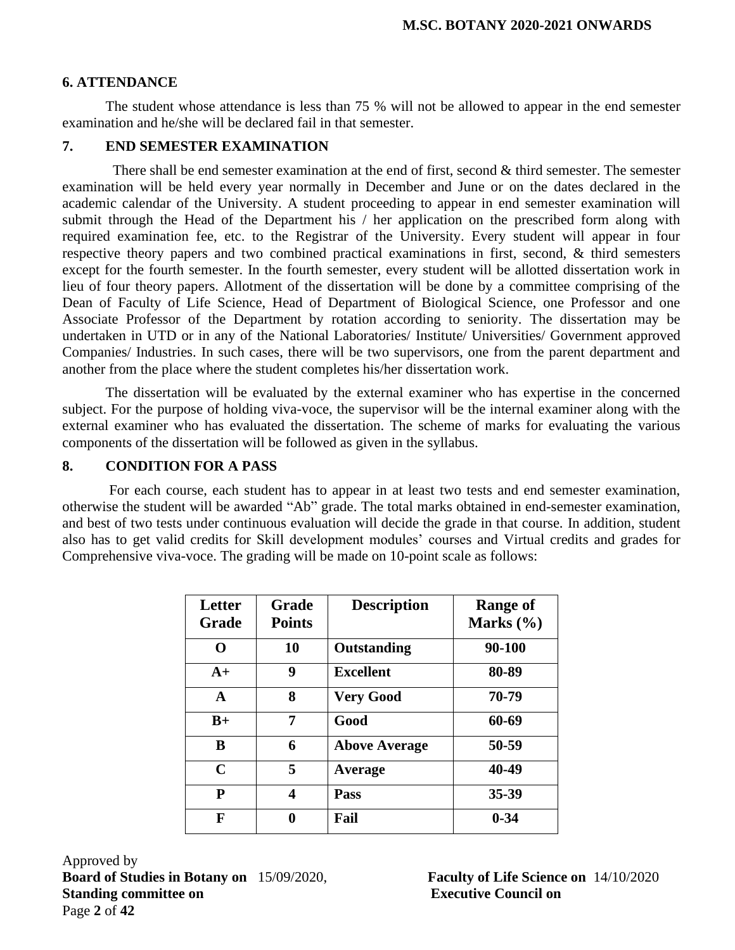#### **6. ATTENDANCE**

The student whose attendance is less than 75 % will not be allowed to appear in the end semester examination and he/she will be declared fail in that semester.

#### **7. END SEMESTER EXAMINATION**

There shall be end semester examination at the end of first, second & third semester. The semester examination will be held every year normally in December and June or on the dates declared in the academic calendar of the University. A student proceeding to appear in end semester examination will submit through the Head of the Department his / her application on the prescribed form along with required examination fee, etc. to the Registrar of the University. Every student will appear in four respective theory papers and two combined practical examinations in first, second, & third semesters except for the fourth semester. In the fourth semester, every student will be allotted dissertation work in lieu of four theory papers. Allotment of the dissertation will be done by a committee comprising of the Dean of Faculty of Life Science, Head of Department of Biological Science, one Professor and one Associate Professor of the Department by rotation according to seniority. The dissertation may be undertaken in UTD or in any of the National Laboratories/ Institute/ Universities/ Government approved Companies/ Industries. In such cases, there will be two supervisors, one from the parent department and another from the place where the student completes his/her dissertation work.

The dissertation will be evaluated by the external examiner who has expertise in the concerned subject. For the purpose of holding viva-voce, the supervisor will be the internal examiner along with the external examiner who has evaluated the dissertation. The scheme of marks for evaluating the various components of the dissertation will be followed as given in the syllabus.

#### **8. CONDITION FOR A PASS**

For each course, each student has to appear in at least two tests and end semester examination, otherwise the student will be awarded "Ab" grade. The total marks obtained in end-semester examination, and best of two tests under continuous evaluation will decide the grade in that course. In addition, student also has to get valid credits for Skill development modules' courses and Virtual credits and grades for Comprehensive viva-voce. The grading will be made on 10-point scale as follows:

| Letter<br><b>Grade</b> | <b>Grade</b><br><b>Points</b> | <b>Description</b>   | <b>Range of</b><br>Marks (%) |
|------------------------|-------------------------------|----------------------|------------------------------|
| O                      | 10                            | <b>Outstanding</b>   | 90-100                       |
| $A+$                   | 9                             | <b>Excellent</b>     | 80-89                        |
| $\mathbf{A}$           | 8                             | <b>Very Good</b>     | 70-79                        |
| $B+$                   | 7                             | Good                 | 60-69                        |
| B                      | 6                             | <b>Above Average</b> | 50-59                        |
| $\mathbf C$            | 5                             | Average              | 40-49                        |
| ${\bf P}$              | 4                             | Pass                 | 35-39                        |
| F                      | 0                             | Fail                 | $0 - 34$                     |

Approved by **Board of Studies in Botany on** 15/09/2020, **Faculty of Life Science on** 14/10/2020 **Standing committee on Executive Council on** Page **2** of **42**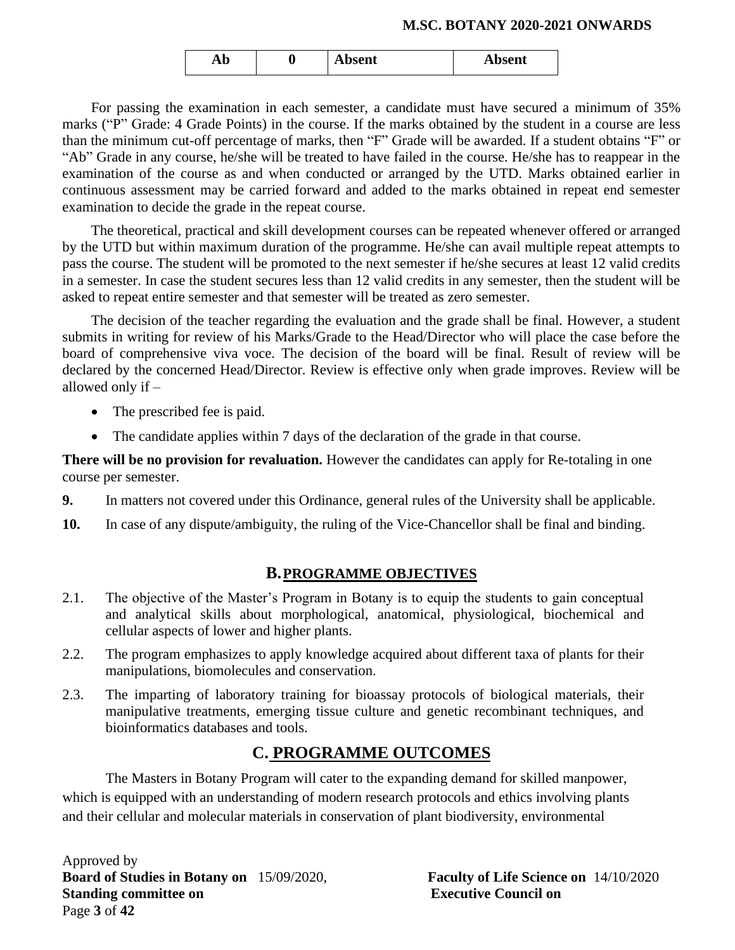| Ab | ີ | Absent | Absent |
|----|---|--------|--------|
|    |   |        |        |

For passing the examination in each semester, a candidate must have secured a minimum of 35% marks ("P" Grade: 4 Grade Points) in the course. If the marks obtained by the student in a course are less than the minimum cut-off percentage of marks, then "F" Grade will be awarded. If a student obtains "F" or "Ab" Grade in any course, he/she will be treated to have failed in the course. He/she has to reappear in the examination of the course as and when conducted or arranged by the UTD. Marks obtained earlier in continuous assessment may be carried forward and added to the marks obtained in repeat end semester examination to decide the grade in the repeat course.

The theoretical, practical and skill development courses can be repeated whenever offered or arranged by the UTD but within maximum duration of the programme. He/she can avail multiple repeat attempts to pass the course. The student will be promoted to the next semester if he/she secures at least 12 valid credits in a semester. In case the student secures less than 12 valid credits in any semester, then the student will be asked to repeat entire semester and that semester will be treated as zero semester.

The decision of the teacher regarding the evaluation and the grade shall be final. However, a student submits in writing for review of his Marks/Grade to the Head/Director who will place the case before the board of comprehensive viva voce. The decision of the board will be final. Result of review will be declared by the concerned Head/Director. Review is effective only when grade improves. Review will be allowed only if –

- The prescribed fee is paid.
- The candidate applies within 7 days of the declaration of the grade in that course.

**There will be no provision for revaluation.** However the candidates can apply for Re-totaling in one course per semester.

- **9.** In matters not covered under this Ordinance, general rules of the University shall be applicable.
- **10.** In case of any dispute/ambiguity, the ruling of the Vice-Chancellor shall be final and binding.

#### **B.PROGRAMME OBJECTIVES**

- 2.1. The objective of the Master's Program in Botany is to equip the students to gain conceptual and analytical skills about morphological, anatomical, physiological, biochemical and cellular aspects of lower and higher plants.
- 2.2. The program emphasizes to apply knowledge acquired about different taxa of plants for their manipulations, biomolecules and conservation.
- 2.3. The imparting of laboratory training for bioassay protocols of biological materials, their manipulative treatments, emerging tissue culture and genetic recombinant techniques, and bioinformatics databases and tools.

## **C. PROGRAMME OUTCOMES**

The Masters in Botany Program will cater to the expanding demand for skilled manpower, which is equipped with an understanding of modern research protocols and ethics involving plants and their cellular and molecular materials in conservation of plant biodiversity, environmental

Approved by **Board of Studies in Botany on** 15/09/2020, **Faculty of Life Science on** 14/10/2020 **Standing committee on Executive Council on** Page **3** of **42**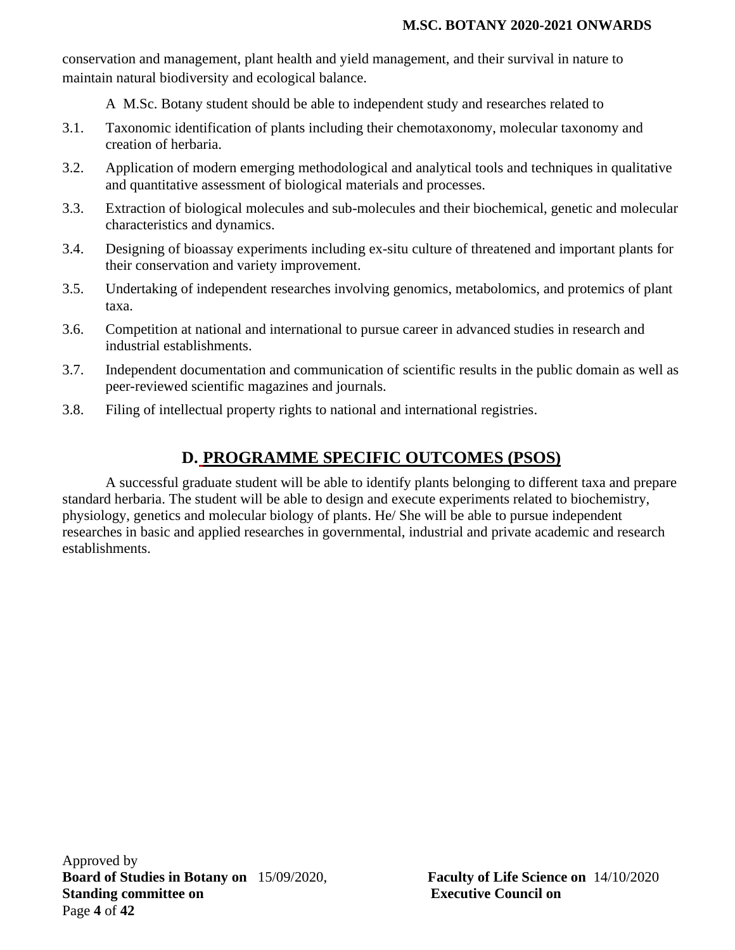conservation and management, plant health and yield management, and their survival in nature to maintain natural biodiversity and ecological balance.

A M.Sc. Botany student should be able to independent study and researches related to

- 3.1. Taxonomic identification of plants including their chemotaxonomy, molecular taxonomy and creation of herbaria.
- 3.2. Application of modern emerging methodological and analytical tools and techniques in qualitative and quantitative assessment of biological materials and processes.
- 3.3. Extraction of biological molecules and sub-molecules and their biochemical, genetic and molecular characteristics and dynamics.
- 3.4. Designing of bioassay experiments including ex-situ culture of threatened and important plants for their conservation and variety improvement.
- 3.5. Undertaking of independent researches involving genomics, metabolomics, and protemics of plant taxa.
- 3.6. Competition at national and international to pursue career in advanced studies in research and industrial establishments.
- 3.7. Independent documentation and communication of scientific results in the public domain as well as peer-reviewed scientific magazines and journals.
- 3.8. Filing of intellectual property rights to national and international registries.

## **D. PROGRAMME SPECIFIC OUTCOMES (PSOS)**

A successful graduate student will be able to identify plants belonging to different taxa and prepare standard herbaria. The student will be able to design and execute experiments related to biochemistry, physiology, genetics and molecular biology of plants. He/ She will be able to pursue independent researches in basic and applied researches in governmental, industrial and private academic and research establishments.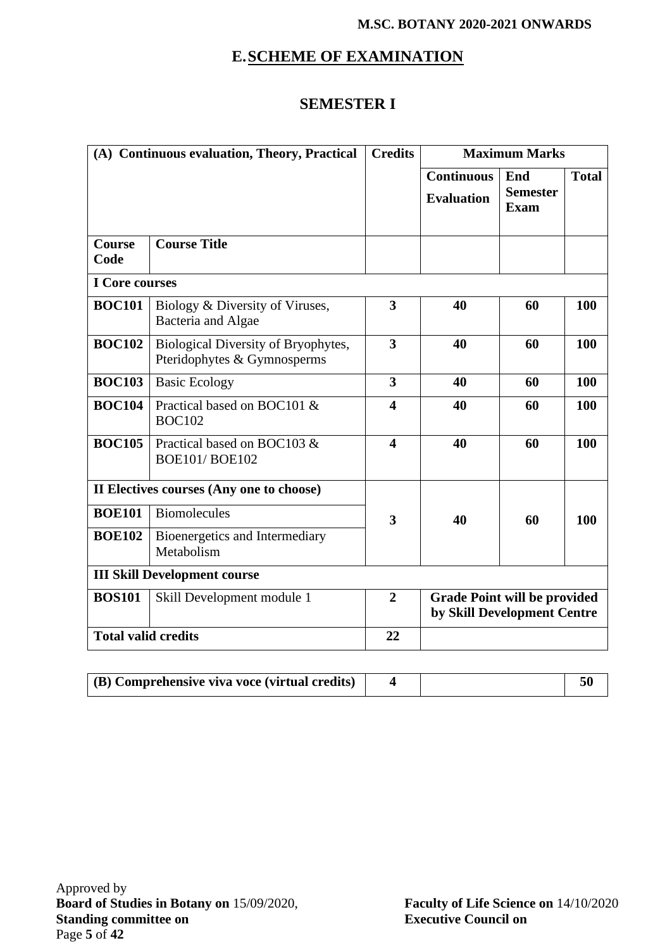# **E.SCHEME OF EXAMINATION**

## **SEMESTER I**

| (A) Continuous evaluation, Theory, Practical |                                                                    | <b>Credits</b>          |                                                                    | <b>Maximum Marks</b>                  |              |
|----------------------------------------------|--------------------------------------------------------------------|-------------------------|--------------------------------------------------------------------|---------------------------------------|--------------|
|                                              |                                                                    |                         | <b>Continuous</b><br><b>Evaluation</b>                             | End<br><b>Semester</b><br><b>Exam</b> | <b>Total</b> |
| <b>Course</b><br>Code                        | <b>Course Title</b>                                                |                         |                                                                    |                                       |              |
| I Core courses                               |                                                                    |                         |                                                                    |                                       |              |
| <b>BOC101</b>                                | Biology & Diversity of Viruses,<br>Bacteria and Algae              | 3                       | 40                                                                 | 60                                    | 100          |
| <b>BOC102</b>                                | Biological Diversity of Bryophytes,<br>Pteridophytes & Gymnosperms | 3                       | 40                                                                 | 60                                    | 100          |
| <b>BOC103</b>                                | <b>Basic Ecology</b>                                               | 3                       | 40                                                                 | 60                                    | 100          |
| <b>BOC104</b>                                | Practical based on BOC101 &<br><b>BOC102</b>                       | 4                       | 40                                                                 | 60                                    | 100          |
| <b>BOC105</b>                                | Practical based on BOC103 &<br><b>BOE101/BOE102</b>                | $\overline{\mathbf{4}}$ | 40                                                                 | 60                                    | 100          |
|                                              | II Electives courses (Any one to choose)                           |                         |                                                                    |                                       |              |
| <b>BOE101</b>                                | <b>Biomolecules</b>                                                | 3                       | 40                                                                 | 60                                    | 100          |
| <b>BOE102</b>                                | Bioenergetics and Intermediary<br>Metabolism                       |                         |                                                                    |                                       |              |
|                                              | <b>III Skill Development course</b>                                |                         |                                                                    |                                       |              |
| <b>BOS101</b>                                | Skill Development module 1                                         | $\overline{2}$          | <b>Grade Point will be provided</b><br>by Skill Development Centre |                                       |              |
| <b>Total valid credits</b>                   |                                                                    | 22                      |                                                                    |                                       |              |

| $\mid$ (B) Comprehensive viva voce (virtual credits) |  |  |  |
|------------------------------------------------------|--|--|--|
|------------------------------------------------------|--|--|--|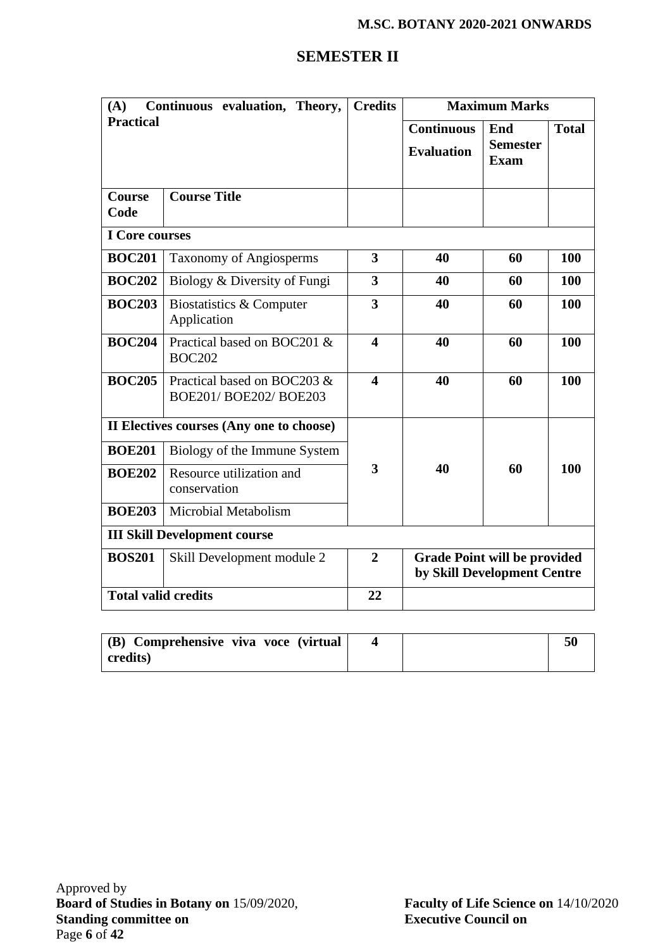## **SEMESTER II**

| Continuous evaluation, Theory,<br>(A)       |                                                     | <b>Credits</b>          | <b>Maximum Marks</b>                                               |                        |              |
|---------------------------------------------|-----------------------------------------------------|-------------------------|--------------------------------------------------------------------|------------------------|--------------|
| <b>Practical</b>                            |                                                     |                         | <b>Continuous</b>                                                  | End<br><b>Semester</b> | <b>Total</b> |
|                                             |                                                     |                         | <b>Evaluation</b>                                                  | Exam                   |              |
| <b>Course</b><br>Code                       | <b>Course Title</b>                                 |                         |                                                                    |                        |              |
| <b>I</b> Core courses                       |                                                     |                         |                                                                    |                        |              |
| <b>BOC201</b>                               | <b>Taxonomy of Angiosperms</b>                      | $\overline{\mathbf{3}}$ | 40                                                                 | 60                     | 100          |
| <b>BOC202</b>                               | Biology & Diversity of Fungi                        | $\overline{\mathbf{3}}$ | 40                                                                 | 60                     | 100          |
| <b>BOC203</b>                               | Biostatistics & Computer<br>Application             | 3                       | 40                                                                 | 60                     | 100          |
| <b>BOC204</b>                               | Practical based on BOC201 &<br><b>BOC202</b>        | $\blacktriangle$        | 40                                                                 | 60                     | 100          |
| <b>BOC205</b>                               | Practical based on BOC203 &<br>BOE201/BOE202/BOE203 | $\overline{\mathbf{4}}$ | 40                                                                 | 60                     | 100          |
|                                             | II Electives courses (Any one to choose)            |                         |                                                                    |                        |              |
| <b>BOE201</b>                               | Biology of the Immune System                        |                         |                                                                    |                        |              |
| <b>BOE202</b>                               | Resource utilization and<br>conservation            | 3                       | 40                                                                 | 60                     | 100          |
| <b>BOE203</b>                               | Microbial Metabolism                                |                         |                                                                    |                        |              |
|                                             | <b>III Skill Development course</b>                 |                         |                                                                    |                        |              |
| <b>BOS201</b><br>Skill Development module 2 |                                                     | $\overline{2}$          | <b>Grade Point will be provided</b><br>by Skill Development Centre |                        |              |
| <b>Total valid credits</b>                  |                                                     | 22                      |                                                                    |                        |              |

| (B) Comprehensive viva voce (virtual) |  |  |
|---------------------------------------|--|--|
| credits)                              |  |  |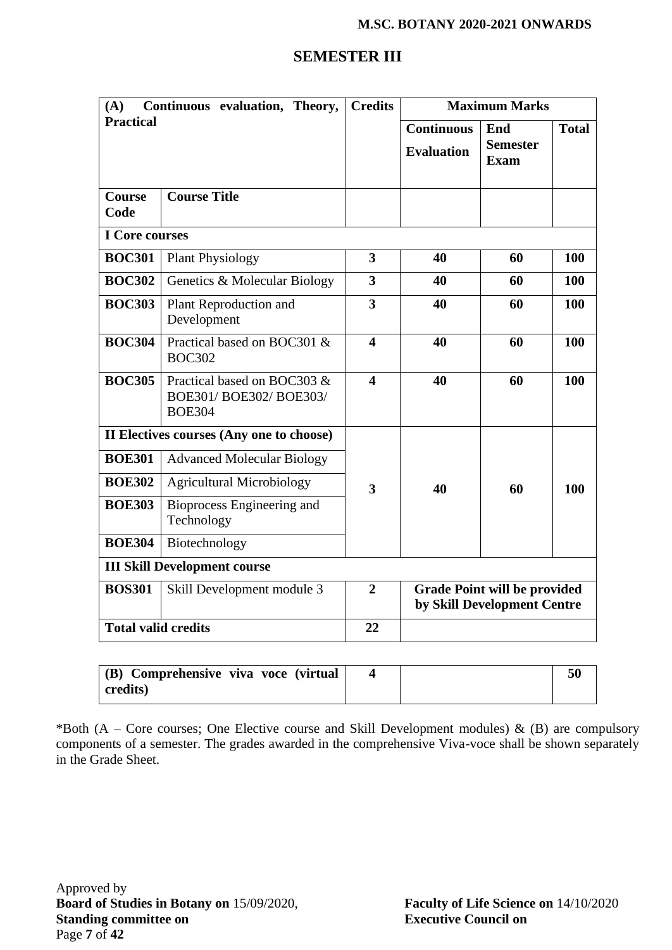## **SEMESTER III**

| Continuous evaluation, Theory,<br>(A) |                                                                         | <b>Credits</b>          |                                                                    | <b>Maximum Marks</b>                  |              |
|---------------------------------------|-------------------------------------------------------------------------|-------------------------|--------------------------------------------------------------------|---------------------------------------|--------------|
| <b>Practical</b>                      |                                                                         |                         | <b>Continuous</b><br><b>Evaluation</b>                             | End<br><b>Semester</b><br><b>Exam</b> | <b>Total</b> |
| <b>Course</b><br>Code                 | <b>Course Title</b>                                                     |                         |                                                                    |                                       |              |
| <b>I</b> Core courses                 |                                                                         |                         |                                                                    |                                       |              |
| <b>BOC301</b>                         | <b>Plant Physiology</b>                                                 | 3                       | 40                                                                 | 60                                    | 100          |
| <b>BOC302</b>                         | Genetics & Molecular Biology                                            | $\overline{\mathbf{3}}$ | 40                                                                 | 60                                    | 100          |
| <b>BOC303</b>                         | Plant Reproduction and<br>Development                                   | $\overline{\mathbf{3}}$ | 40                                                                 | 60                                    | 100          |
| <b>BOC304</b>                         | Practical based on BOC301 &<br><b>BOC302</b>                            | $\boldsymbol{4}$        | 40                                                                 | 60                                    | 100          |
| <b>BOC305</b>                         | Practical based on BOC303 &<br>BOE301/ BOE302/ BOE303/<br><b>BOE304</b> | $\overline{\mathbf{4}}$ | 40                                                                 | 60                                    | 100          |
|                                       | II Electives courses (Any one to choose)                                |                         |                                                                    |                                       |              |
| <b>BOE301</b>                         | <b>Advanced Molecular Biology</b>                                       |                         |                                                                    |                                       |              |
| <b>BOE302</b>                         | <b>Agricultural Microbiology</b>                                        | 3                       | 40                                                                 | 60                                    | 100          |
| <b>BOE303</b>                         | Bioprocess Engineering and<br>Technology                                |                         |                                                                    |                                       |              |
| <b>BOE304</b>                         | Biotechnology                                                           |                         |                                                                    |                                       |              |
|                                       | <b>III Skill Development course</b>                                     |                         |                                                                    |                                       |              |
| <b>BOS301</b>                         | Skill Development module 3                                              | $\overline{2}$          | <b>Grade Point will be provided</b><br>by Skill Development Centre |                                       |              |
| <b>Total valid credits</b>            |                                                                         | 22                      |                                                                    |                                       |              |

| (B) Comprehensive viva voce (virtual |  | 50 |
|--------------------------------------|--|----|
| credits)                             |  |    |

\*Both (A – Core courses; One Elective course and Skill Development modules)  $\&$  (B) are compulsory components of a semester. The grades awarded in the comprehensive Viva-voce shall be shown separately in the Grade Sheet.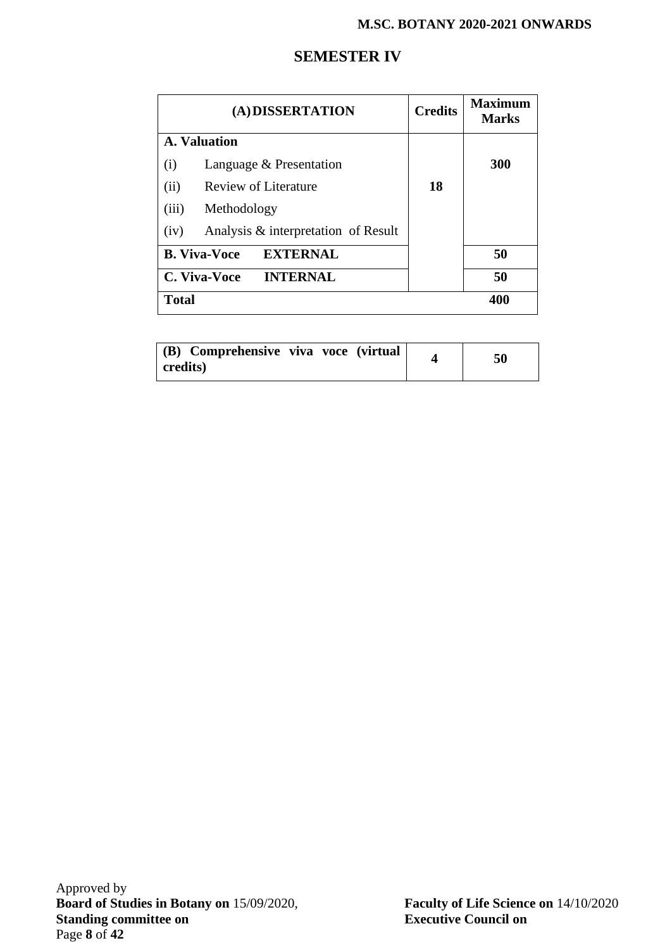## **SEMESTER IV**

| (A) DISSERTATION                            | <b>Credits</b> | <b>Maximum</b><br><b>Marks</b> |
|---------------------------------------------|----------------|--------------------------------|
| A. Valuation                                |                |                                |
| Language & Presentation<br>(i)              |                | 300                            |
| Review of Literature<br>(ii)                | 18             |                                |
| (iii)<br>Methodology                        |                |                                |
| Analysis & interpretation of Result<br>(iv) |                |                                |
| <b>B. Viva-Voce</b><br><b>EXTERNAL</b>      |                | 50                             |
| C. Viva-Voce<br><b>INTERNAL</b>             |                | 50                             |
| <b>Total</b>                                |                | 400                            |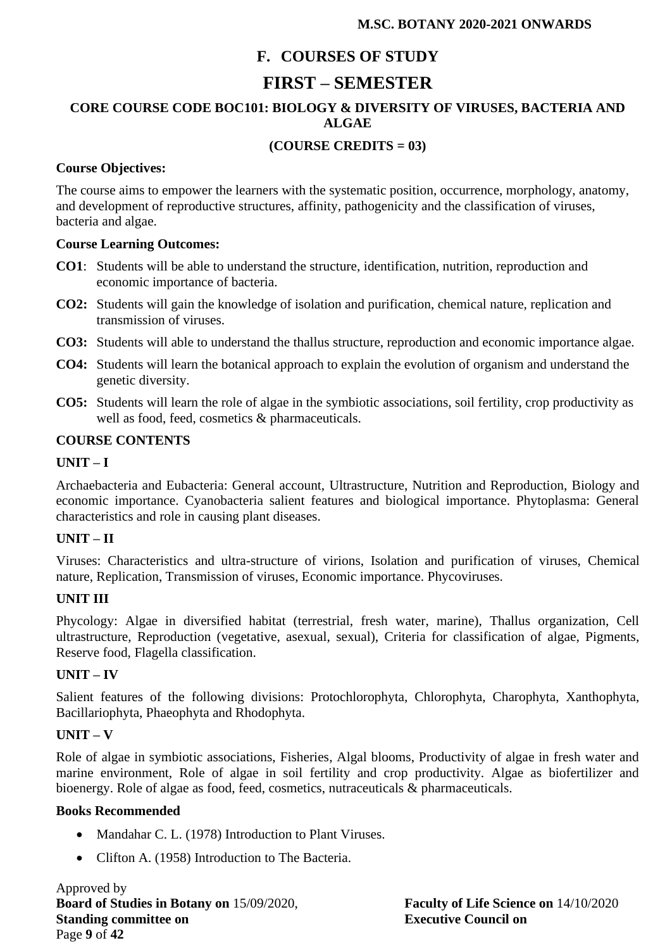## **F. COURSES OF STUDY**

## **FIRST – SEMESTER**

## **CORE COURSE CODE BOC101: BIOLOGY & DIVERSITY OF VIRUSES, BACTERIA AND ALGAE**

## **(COURSE CREDITS = 03)**

#### **Course Objectives:**

The course aims to empower the learners with the systematic position, occurrence, morphology, anatomy, and development of reproductive structures, affinity, pathogenicity and the classification of viruses, bacteria and algae.

#### **Course Learning Outcomes:**

- **CO1**: Students will be able to understand the structure, identification, nutrition, reproduction and economic importance of bacteria.
- **CO2:** Students will gain the knowledge of isolation and purification, chemical nature, replication and transmission of viruses.
- **CO3:** Students will able to understand the thallus structure, reproduction and economic importance algae.
- **CO4:** Students will learn the botanical approach to explain the evolution of organism and understand the genetic diversity.
- **CO5:** Students will learn the role of algae in the symbiotic associations, soil fertility, crop productivity as well as food, feed, cosmetics & pharmaceuticals.

#### **COURSE CONTENTS**

#### **UNIT – I**

Archaebacteria and Eubacteria: General account, Ultrastructure, Nutrition and Reproduction, Biology and economic importance. Cyanobacteria salient features and biological importance. Phytoplasma: General characteristics and role in causing plant diseases.

#### **UNIT – II**

Viruses: Characteristics and ultra-structure of virions, Isolation and purification of viruses, Chemical nature, Replication, Transmission of viruses, Economic importance. Phycoviruses.

#### **UNIT III**

Phycology: Algae in diversified habitat (terrestrial, fresh water, marine), Thallus organization, Cell ultrastructure, Reproduction (vegetative, asexual, sexual), Criteria for classification of algae, Pigments, Reserve food, Flagella classification.

#### **UNIT – IV**

Salient features of the following divisions: Protochlorophyta, Chlorophyta, Charophyta, Xanthophyta, Bacillariophyta, Phaeophyta and Rhodophyta.

#### **UNIT – V**

Role of algae in symbiotic associations, Fisheries, Algal blooms, Productivity of algae in fresh water and marine environment, Role of algae in soil fertility and crop productivity. Algae as biofertilizer and bioenergy. Role of algae as food, feed, cosmetics, nutraceuticals & pharmaceuticals.

#### **Books Recommended**

- Mandahar C. L. (1978) Introduction to Plant Viruses.
- Clifton A. (1958) Introduction to The Bacteria.

Approved by **Board of Studies in Botany on** 15/09/2020, **Faculty of Life Science on** 14/10/2020 **Standing committee on Executive Council on** Page **9** of **42**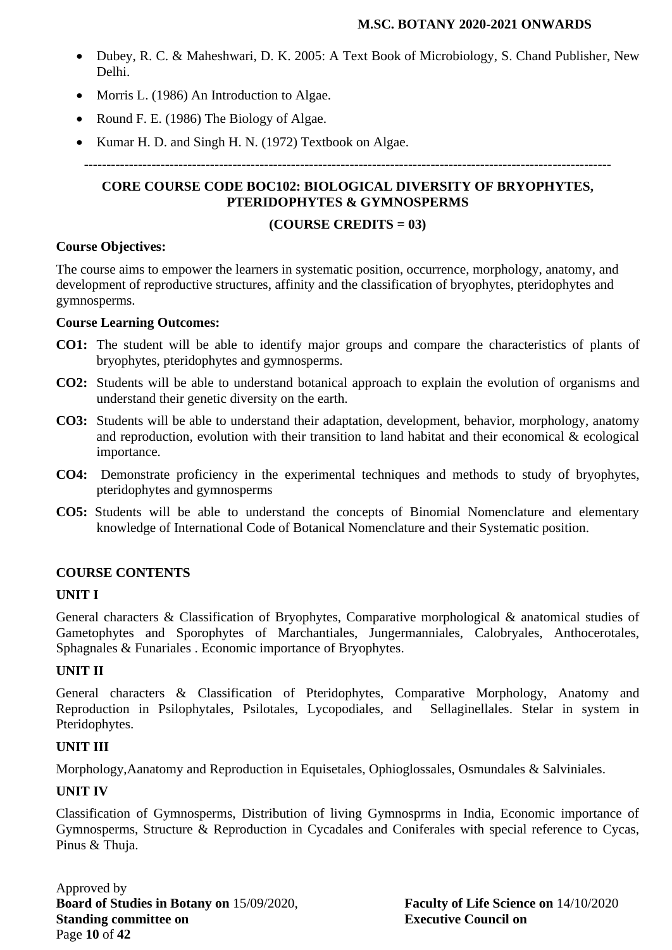- Dubey, R. C. & Maheshwari, D. K. 2005: A Text Book of Microbiology, S. Chand Publisher, New Delhi.
- Morris L. (1986) An Introduction to Algae.
- Round F. E. (1986) The Biology of Algae.
- Kumar H. D. and Singh H. N. (1972) Textbook on Algae.

**---------------------------------------------------------------------------------------------------------------------**

## **CORE COURSE CODE BOC102: BIOLOGICAL DIVERSITY OF BRYOPHYTES, PTERIDOPHYTES & GYMNOSPERMS**

#### **(COURSE CREDITS = 03)**

#### **Course Objectives:**

The course aims to empower the learners in systematic position, occurrence, morphology, anatomy, and development of reproductive structures, affinity and the classification of bryophytes, pteridophytes and gymnosperms.

## **Course Learning Outcomes:**

- **CO1:** The student will be able to identify major groups and compare the characteristics of plants of bryophytes, pteridophytes and gymnosperms.
- **CO2:** Students will be able to understand botanical approach to explain the evolution of organisms and understand their genetic diversity on the earth.
- **CO3:** Students will be able to understand their adaptation, development, behavior, morphology, anatomy and reproduction, evolution with their transition to land habitat and their economical & ecological importance.
- **CO4:** Demonstrate proficiency in the experimental techniques and methods to study of bryophytes, pteridophytes and gymnosperms
- **CO5:** Students will be able to understand the concepts of Binomial Nomenclature and elementary knowledge of International Code of Botanical Nomenclature and their Systematic position.

## **COURSE CONTENTS**

#### **UNIT I**

General characters & Classification of Bryophytes, Comparative morphological & anatomical studies of Gametophytes and Sporophytes of Marchantiales, Jungermanniales, Calobryales, Anthocerotales, Sphagnales & Funariales . Economic importance of Bryophytes.

#### **UNIT II**

General characters & Classification of Pteridophytes, Comparative Morphology, Anatomy and Reproduction in Psilophytales, Psilotales, Lycopodiales, and Sellaginellales. Stelar in system in Pteridophytes.

#### **UNIT III**

Morphology,Aanatomy and Reproduction in Equisetales, Ophioglossales, Osmundales & Salviniales.

## **UNIT IV**

Classification of Gymnosperms, Distribution of living Gymnosprms in India, Economic importance of Gymnosperms, Structure & Reproduction in Cycadales and Coniferales with special reference to Cycas, Pinus & Thuja.

Approved by **Board of Studies in Botany on** 15/09/2020, **Faculty of Life Science on** 14/10/2020 **Standing committee on Executive Council on** Page **10** of **42**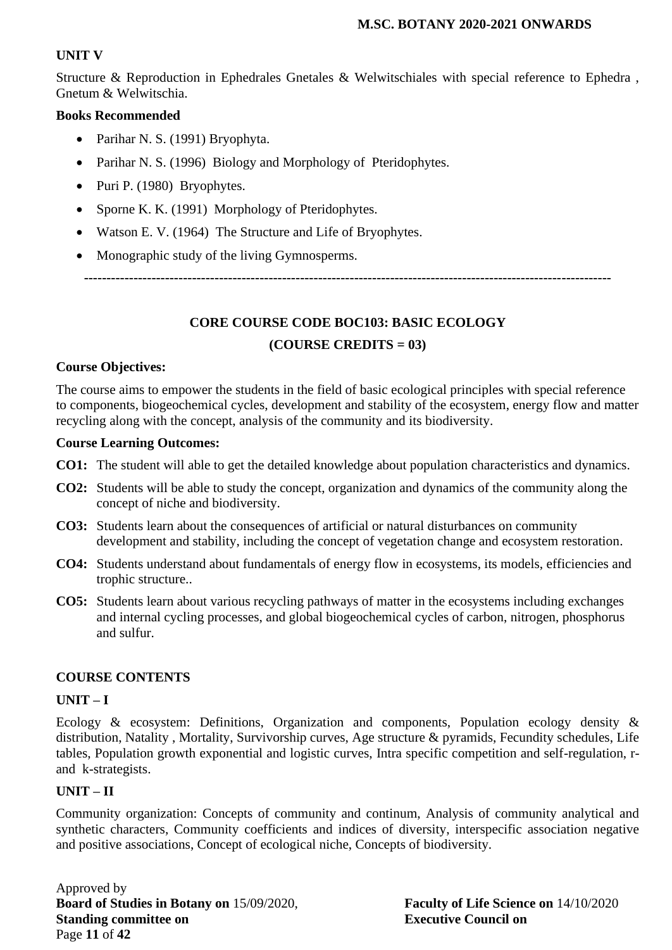## **UNIT V**

Structure & Reproduction in Ephedrales Gnetales & Welwitschiales with special reference to Ephedra , Gnetum & Welwitschia.

#### **Books Recommended**

- Parihar N. S. (1991) Bryophyta.
- Parihar N. S. (1996) Biology and Morphology of Pteridophytes.
- Puri P. (1980) Bryophytes.
- Sporne K. K. (1991) Morphology of Pteridophytes.
- Watson E. V. (1964) The Structure and Life of Bryophytes.
- Monographic study of the living Gymnosperms.

**---------------------------------------------------------------------------------------------------------------------**

# **CORE COURSE CODE BOC103: BASIC ECOLOGY (COURSE CREDITS = 03)**

#### **Course Objectives:**

The course aims to empower the students in the field of basic ecological principles with special reference to components, biogeochemical cycles, development and stability of the ecosystem, energy flow and matter recycling along with the concept, analysis of the community and its biodiversity.

#### **Course Learning Outcomes:**

- **CO1:** The student will able to get the detailed knowledge about population characteristics and dynamics.
- **CO2:** Students will be able to study the concept, organization and dynamics of the community along the concept of niche and biodiversity.
- **CO3:** Students learn about the consequences of artificial or natural disturbances on community development and stability, including the concept of vegetation change and ecosystem restoration.
- **CO4:** Students understand about fundamentals of energy flow in ecosystems, its models, efficiencies and trophic structure..
- **CO5:** Students learn about various recycling pathways of matter in the ecosystems including exchanges and internal cycling processes, and global biogeochemical cycles of carbon, nitrogen, phosphorus and sulfur.

#### **COURSE CONTENTS**

#### **UNIT – I**

Ecology & ecosystem: Definitions, Organization and components, Population ecology density & distribution, Natality , Mortality, Survivorship curves, Age structure & pyramids, Fecundity schedules, Life tables, Population growth exponential and logistic curves, Intra specific competition and self-regulation, rand k-strategists.

#### **UNIT – II**

Community organization: Concepts of community and continum, Analysis of community analytical and synthetic characters, Community coefficients and indices of diversity, interspecific association negative and positive associations, Concept of ecological niche, Concepts of biodiversity.

Approved by **Board of Studies in Botany on** 15/09/2020, **Faculty of Life Science on** 14/10/2020 **Standing committee on Executive Council on** Page **11** of **42**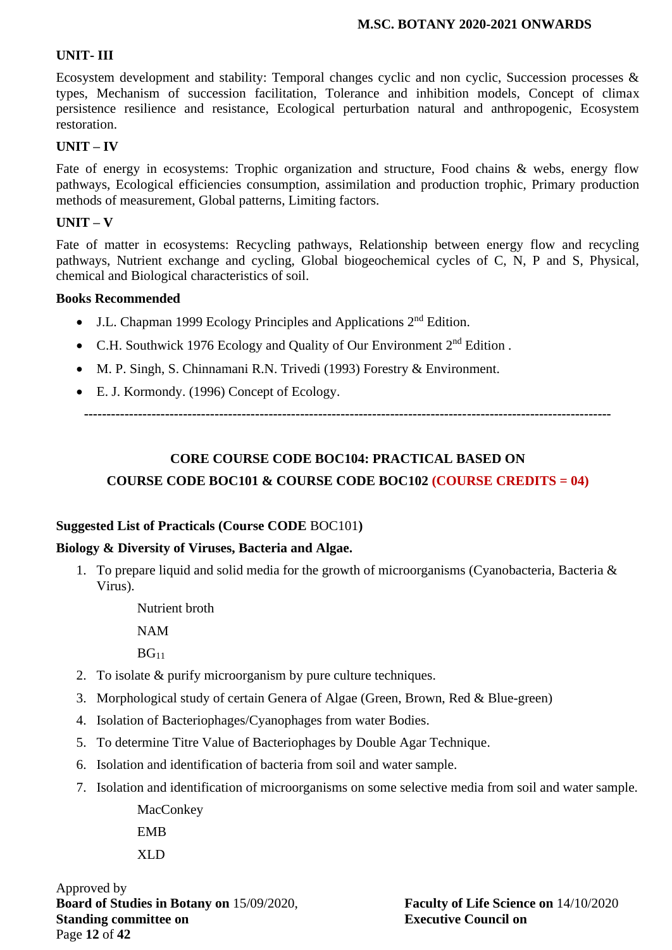#### **UNIT- III**

Ecosystem development and stability: Temporal changes cyclic and non cyclic, Succession processes & types, Mechanism of succession facilitation, Tolerance and inhibition models, Concept of climax persistence resilience and resistance, Ecological perturbation natural and anthropogenic, Ecosystem restoration.

#### **UNIT – IV**

Fate of energy in ecosystems: Trophic organization and structure, Food chains & webs, energy flow pathways, Ecological efficiencies consumption, assimilation and production trophic, Primary production methods of measurement, Global patterns, Limiting factors.

#### **UNIT – V**

Fate of matter in ecosystems: Recycling pathways, Relationship between energy flow and recycling pathways, Nutrient exchange and cycling, Global biogeochemical cycles of C, N, P and S, Physical, chemical and Biological characteristics of soil.

#### **Books Recommended**

- J.L. Chapman 1999 Ecology Principles and Applications 2nd Edition.
- C.H. Southwick 1976 Ecology and Quality of Our Environment 2nd Edition .
- M. P. Singh, S. Chinnamani R.N. Trivedi (1993) Forestry & Environment.
- E. J. Kormondy. (1996) Concept of Ecology.

**---------------------------------------------------------------------------------------------------------------------**

## **CORE COURSE CODE BOC104: PRACTICAL BASED ON COURSE CODE BOC101 & COURSE CODE BOC102 (COURSE CREDITS = 04)**

#### **Suggested List of Practicals (Course CODE** BOC101**)**

#### **Biology & Diversity of Viruses, Bacteria and Algae.**

1. To prepare liquid and solid media for the growth of microorganisms (Cyanobacteria, Bacteria & Virus).

> Nutrient broth NAM  $BG<sub>11</sub>$

- 2. To isolate & purify microorganism by pure culture techniques.
- 3. Morphological study of certain Genera of Algae (Green, Brown, Red & Blue-green)
- 4. Isolation of Bacteriophages/Cyanophages from water Bodies.
- 5. To determine Titre Value of Bacteriophages by Double Agar Technique.
- 6. Isolation and identification of bacteria from soil and water sample.
- 7. Isolation and identification of microorganisms on some selective media from soil and water sample.

**MacConkey** EMB XLD

Approved by **Board of Studies in Botany on** 15/09/2020, **Faculty of Life Science on** 14/10/2020 **Standing committee on Executive Council on** Page **12** of **42**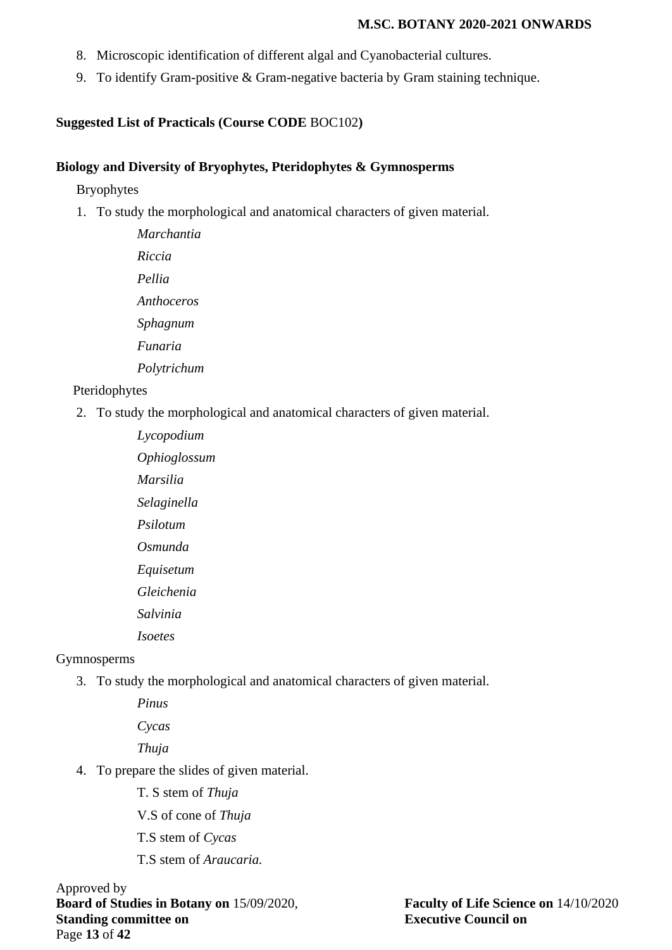- 8. Microscopic identification of different algal and Cyanobacterial cultures.
- 9. To identify Gram-positive & Gram-negative bacteria by Gram staining technique.

#### **Suggested List of Practicals (Course CODE** BOC102**)**

#### **Biology and Diversity of Bryophytes, Pteridophytes & Gymnosperms**

Bryophytes

1. To study the morphological and anatomical characters of given material.

*Marchantia Riccia Pellia Anthoceros Sphagnum Funaria Polytrichum*

#### Pteridophytes

2. To study the morphological and anatomical characters of given material.

*Lycopodium Ophioglossum Marsilia Selaginella Psilotum Osmunda Equisetum Gleichenia Salvinia Isoetes*

#### Gymnosperms

3. To study the morphological and anatomical characters of given material.

*Pinus Cycas*

*Thuja*

- 4. To prepare the slides of given material.
	- T. S stem of *Thuja*
	- V.S of cone of *Thuja*
	- T.S stem of *Cycas*
	- T.S stem of *Araucaria.*

Approved by **Board of Studies in Botany on** 15/09/2020, **Faculty of Life Science on** 14/10/2020 **Standing committee on Executive Council on** Page **13** of **42**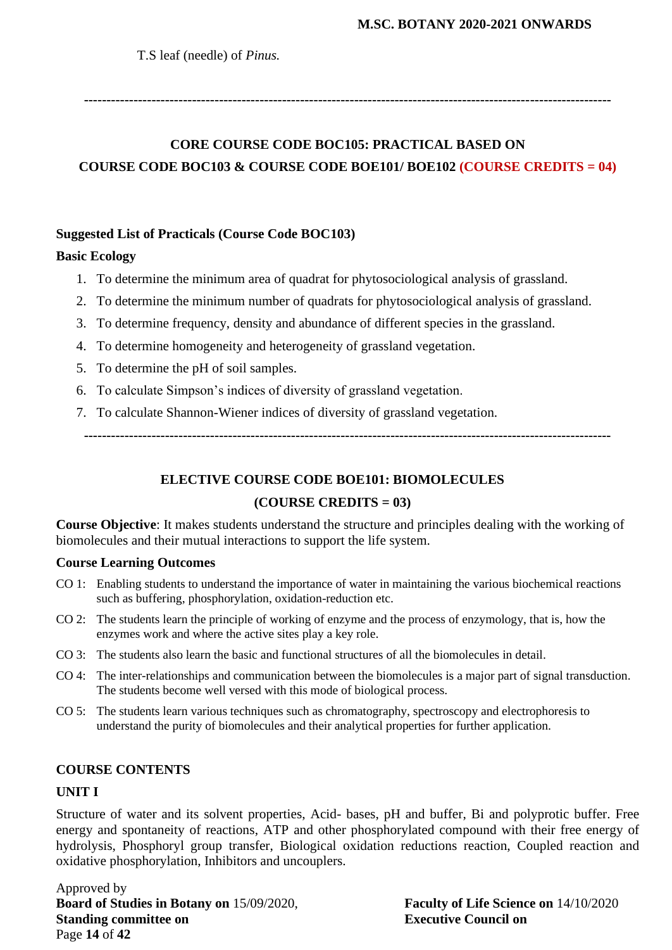T.S leaf (needle) of *Pinus.*

**---------------------------------------------------------------------------------------------------------------------**

# **CORE COURSE CODE BOC105: PRACTICAL BASED ON COURSE CODE BOC103 & COURSE CODE BOE101/ BOE102 (COURSE CREDITS = 04)**

#### **Suggested List of Practicals (Course Code BOC103)**

#### **Basic Ecology**

- 1. To determine the minimum area of quadrat for phytosociological analysis of grassland.
- 2. To determine the minimum number of quadrats for phytosociological analysis of grassland.
- 3. To determine frequency, density and abundance of different species in the grassland.
- 4. To determine homogeneity and heterogeneity of grassland vegetation.
- 5. To determine the pH of soil samples.
- 6. To calculate Simpson's indices of diversity of grassland vegetation.
- 7. To calculate Shannon-Wiener indices of diversity of grassland vegetation.

**---------------------------------------------------------------------------------------------------------------------**

# **ELECTIVE COURSE CODE BOE101: BIOMOLECULES (COURSE CREDITS = 03)**

**Course Objective**: It makes students understand the structure and principles dealing with the working of biomolecules and their mutual interactions to support the life system.

#### **Course Learning Outcomes**

- CO 1: Enabling students to understand the importance of water in maintaining the various biochemical reactions such as buffering, phosphorylation, oxidation-reduction etc.
- CO 2: The students learn the principle of working of enzyme and the process of enzymology, that is, how the enzymes work and where the active sites play a key role.
- CO 3: The students also learn the basic and functional structures of all the biomolecules in detail.
- CO 4: The inter-relationships and communication between the biomolecules is a major part of signal transduction. The students become well versed with this mode of biological process.
- CO 5: The students learn various techniques such as chromatography, spectroscopy and electrophoresis to understand the purity of biomolecules and their analytical properties for further application.

#### **COURSE CONTENTS**

#### **UNIT I**

Structure of water and its solvent properties, Acid- bases, pH and buffer, Bi and polyprotic buffer. Free energy and spontaneity of reactions, ATP and other phosphorylated compound with their free energy of hydrolysis, Phosphoryl group transfer, Biological oxidation reductions reaction, Coupled reaction and oxidative phosphorylation, Inhibitors and uncouplers.

Approved by **Board of Studies in Botany on** 15/09/2020, **Faculty of Life Science on** 14/10/2020 **Standing committee on Executive Council on** Page **14** of **42**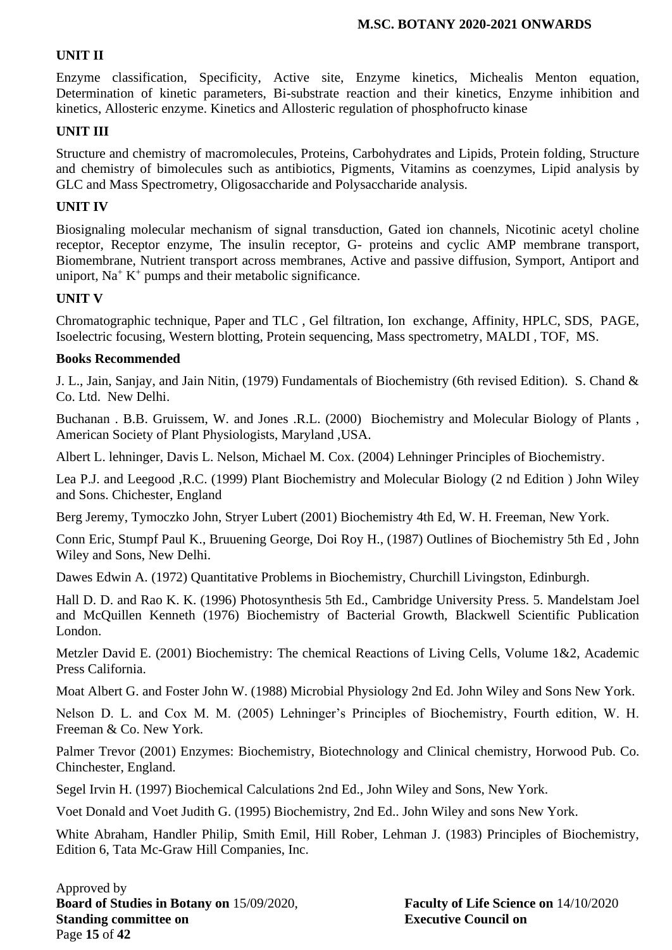#### **UNIT II**

Enzyme classification, Specificity, Active site, Enzyme kinetics, Michealis Menton equation, Determination of kinetic parameters, Bi-substrate reaction and their kinetics, Enzyme inhibition and kinetics, Allosteric enzyme. Kinetics and Allosteric regulation of phosphofructo kinase

#### **UNIT III**

Structure and chemistry of macromolecules, Proteins, Carbohydrates and Lipids, Protein folding, Structure and chemistry of bimolecules such as antibiotics, Pigments, Vitamins as coenzymes, Lipid analysis by GLC and Mass Spectrometry, Oligosaccharide and Polysaccharide analysis.

#### **UNIT IV**

Biosignaling molecular mechanism of signal transduction, Gated ion channels, Nicotinic acetyl choline receptor, Receptor enzyme, The insulin receptor, G- proteins and cyclic AMP membrane transport, Biomembrane, Nutrient transport across membranes, Active and passive diffusion, Symport, Antiport and uniport,  $Na<sup>+</sup> K<sup>+</sup>$  pumps and their metabolic significance.

#### **UNIT V**

Chromatographic technique, Paper and TLC , Gel filtration, Ion exchange, Affinity, HPLC, SDS, PAGE, Isoelectric focusing, Western blotting, Protein sequencing, Mass spectrometry, MALDI , TOF, MS.

#### **Books Recommended**

J. L., Jain, Sanjay, and Jain Nitin, (1979) Fundamentals of Biochemistry (6th revised Edition). S. Chand & Co. Ltd. New Delhi.

Buchanan . B.B. Gruissem, W. and Jones .R.L. (2000) Biochemistry and Molecular Biology of Plants , American Society of Plant Physiologists, Maryland ,USA.

Albert L. lehninger, Davis L. Nelson, Michael M. Cox. (2004) Lehninger Principles of Biochemistry.

Lea P.J. and Leegood ,R.C. (1999) Plant Biochemistry and Molecular Biology (2 nd Edition ) John Wiley and Sons. Chichester, England

Berg Jeremy, Tymoczko John, Stryer Lubert (2001) Biochemistry 4th Ed, W. H. Freeman, New York.

Conn Eric, Stumpf Paul K., Bruuening George, Doi Roy H., (1987) Outlines of Biochemistry 5th Ed , John Wiley and Sons, New Delhi.

Dawes Edwin A. (1972) Quantitative Problems in Biochemistry, Churchill Livingston, Edinburgh.

Hall D. D. and Rao K. K. (1996) Photosynthesis 5th Ed., Cambridge University Press. 5. Mandelstam Joel and McQuillen Kenneth (1976) Biochemistry of Bacterial Growth, Blackwell Scientific Publication London.

Metzler David E. (2001) Biochemistry: The chemical Reactions of Living Cells, Volume 1&2, Academic Press California.

Moat Albert G. and Foster John W. (1988) Microbial Physiology 2nd Ed. John Wiley and Sons New York.

Nelson D. L. and Cox M. M. (2005) Lehninger's Principles of Biochemistry, Fourth edition, W. H. Freeman & Co. New York.

Palmer Trevor (2001) Enzymes: Biochemistry, Biotechnology and Clinical chemistry, Horwood Pub. Co. Chinchester, England.

Segel Irvin H. (1997) Biochemical Calculations 2nd Ed., John Wiley and Sons, New York.

Voet Donald and Voet Judith G. (1995) Biochemistry, 2nd Ed.. John Wiley and sons New York.

White Abraham, Handler Philip, Smith Emil, Hill Rober, Lehman J. (1983) Principles of Biochemistry, Edition 6, Tata Mc-Graw Hill Companies, Inc.

Approved by **Board of Studies in Botany on** 15/09/2020, **Faculty of Life Science on** 14/10/2020 **Standing committee on Executive Council on** Page **15** of **42**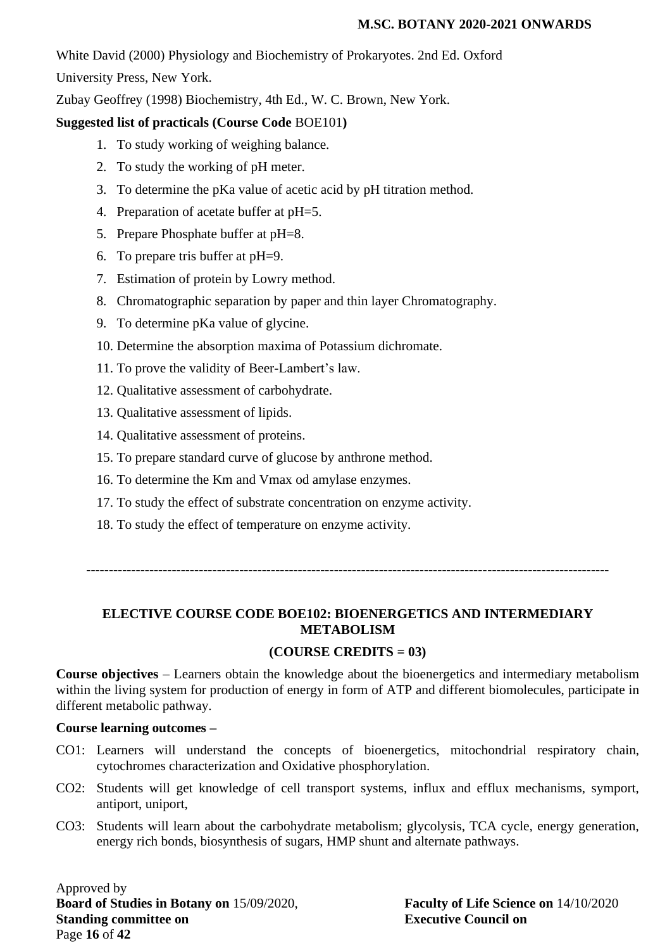White David (2000) Physiology and Biochemistry of Prokaryotes. 2nd Ed. Oxford

University Press, New York.

Zubay Geoffrey (1998) Biochemistry, 4th Ed., W. C. Brown, New York.

## **Suggested list of practicals (Course Code** BOE101**)**

- 1. To study working of weighing balance.
- 2. To study the working of pH meter.
- 3. To determine the pKa value of acetic acid by pH titration method.
- 4. Preparation of acetate buffer at pH=5.
- 5. Prepare Phosphate buffer at pH=8.
- 6. To prepare tris buffer at pH=9.
- 7. Estimation of protein by Lowry method.
- 8. Chromatographic separation by paper and thin layer Chromatography.
- 9. To determine pKa value of glycine.
- 10. Determine the absorption maxima of Potassium dichromate.
- 11. To prove the validity of Beer-Lambert's law.
- 12. Qualitative assessment of carbohydrate.
- 13. Qualitative assessment of lipids.
- 14. Qualitative assessment of proteins.
- 15. To prepare standard curve of glucose by anthrone method.
- 16. To determine the Km and Vmax od amylase enzymes.
- 17. To study the effect of substrate concentration on enzyme activity.
- 18. To study the effect of temperature on enzyme activity.

**--------------------------------------------------------------------------------------------------------------------**

## **ELECTIVE COURSE CODE BOE102: BIOENERGETICS AND INTERMEDIARY METABOLISM**

## **(COURSE CREDITS = 03)**

**Course objectives** – Learners obtain the knowledge about the bioenergetics and intermediary metabolism within the living system for production of energy in form of ATP and different biomolecules, participate in different metabolic pathway.

#### **Course learning outcomes –**

- CO1: Learners will understand the concepts of bioenergetics, mitochondrial respiratory chain, cytochromes characterization and Oxidative phosphorylation.
- CO2: Students will get knowledge of cell transport systems, influx and efflux mechanisms, symport, antiport, uniport,
- CO3: Students will learn about the carbohydrate metabolism; glycolysis, TCA cycle, energy generation, energy rich bonds, biosynthesis of sugars, HMP shunt and alternate pathways.

Approved by **Board of Studies in Botany on** 15/09/2020, **Faculty of Life Science on** 14/10/2020 **Standing committee on Executive Council on** Page **16** of **42**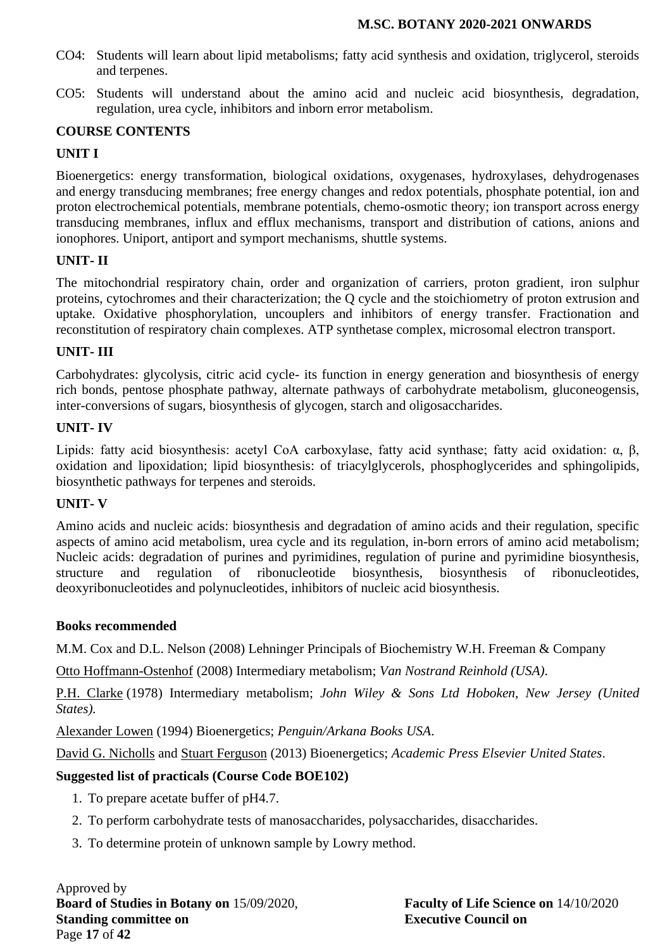- CO4: Students will learn about lipid metabolisms; fatty acid synthesis and oxidation, triglycerol, steroids and terpenes.
- CO5: Students will understand about the amino acid and nucleic acid biosynthesis, degradation, regulation, urea cycle, inhibitors and inborn error metabolism.

## **COURSE CONTENTS**

## **UNIT I**

Bioenergetics: energy transformation, biological oxidations, oxygenases, hydroxylases, dehydrogenases and energy transducing membranes; free energy changes and redox potentials, phosphate potential, ion and proton electrochemical potentials, membrane potentials, chemo-osmotic theory; ion transport across energy transducing membranes, influx and efflux mechanisms, transport and distribution of cations, anions and ionophores. Uniport, antiport and symport mechanisms, shuttle systems.

#### **UNIT- II**

The mitochondrial respiratory chain, order and organization of carriers, proton gradient, iron sulphur proteins, cytochromes and their characterization; the Q cycle and the stoichiometry of proton extrusion and uptake. Oxidative phosphorylation, uncouplers and inhibitors of energy transfer. Fractionation and reconstitution of respiratory chain complexes. ATP synthetase complex, microsomal electron transport.

#### **UNIT- III**

Carbohydrates: glycolysis, citric acid cycle- its function in energy generation and biosynthesis of energy rich bonds, pentose phosphate pathway, alternate pathways of carbohydrate metabolism, gluconeogensis, inter-conversions of sugars, biosynthesis of glycogen, starch and oligosaccharides.

#### **UNIT- IV**

Lipids: fatty acid biosynthesis: acetyl CoA carboxylase, fatty acid synthase; fatty acid oxidation: α, β, oxidation and lipoxidation; lipid biosynthesis: of triacylglycerols, phosphoglycerides and sphingolipids, biosynthetic pathways for terpenes and steroids.

#### **UNIT- V**

Amino acids and nucleic acids: biosynthesis and degradation of amino acids and their regulation, specific aspects of amino acid metabolism, urea cycle and its regulation, in-born errors of amino acid metabolism; Nucleic acids: degradation of purines and pyrimidines, regulation of purine and pyrimidine biosynthesis, structure and regulation of ribonucleotide biosynthesis, biosynthesis of ribonucleotides, deoxyribonucleotides and polynucleotides, inhibitors of nucleic acid biosynthesis.

#### **Books recommended**

M.M. Cox and D.L. Nelson (2008) Lehninger Principals of Biochemistry W.H. Freeman & Company

[Otto Hoffmann-Ostenhof](https://www.google.co.in/search?tbo=p&tbm=bks&q=inauthor:%22Otto+Hoffmann-Ostenhof%22&source=gbs_metadata_r&cad=5) (2008) Intermediary metabolism; *Van Nostrand Reinhold (USA)*.

[P.H. Clarke](http://www.amazon.com/s/ref=dp_byline_sr_book_1?ie=UTF8&text=P.H.+Clarke&search-alias=books&field-author=P.H.+Clarke&sort=relevancerank) (1978) Intermediary metabolism; *John Wiley & Sons Ltd Hoboken, New Jersey (United States).*

[Alexander Lowen](https://www.google.co.in/search?tbo=p&tbm=bks&q=inauthor:%22Alexander+Lowen%22) (1994) Bioenergetics; *Penguin/Arkana Books USA*.

[David G. Nicholls](http://www.amazon.com/David-G.-Nicholls/e/B001HD3ED4/ref=dp_byline_cont_book_1) and [Stuart Ferguson](http://www.amazon.com/s/ref=dp_byline_sr_book_2?ie=UTF8&text=Stuart+Ferguson&search-alias=books&field-author=Stuart+Ferguson&sort=relevancerank) (2013) Bioenergetics; *Academic Press Elsevier United States*.

#### **Suggested list of practicals (Course Code BOE102)**

- 1. To prepare acetate buffer of pH4.7.
- 2. To perform carbohydrate tests of manosaccharides, polysaccharides, disaccharides.
- 3. To determine protein of unknown sample by Lowry method.

Approved by **Board of Studies in Botany on** 15/09/2020, **Faculty of Life Science on** 14/10/2020 **Standing committee on Executive Council on** Page **17** of **42**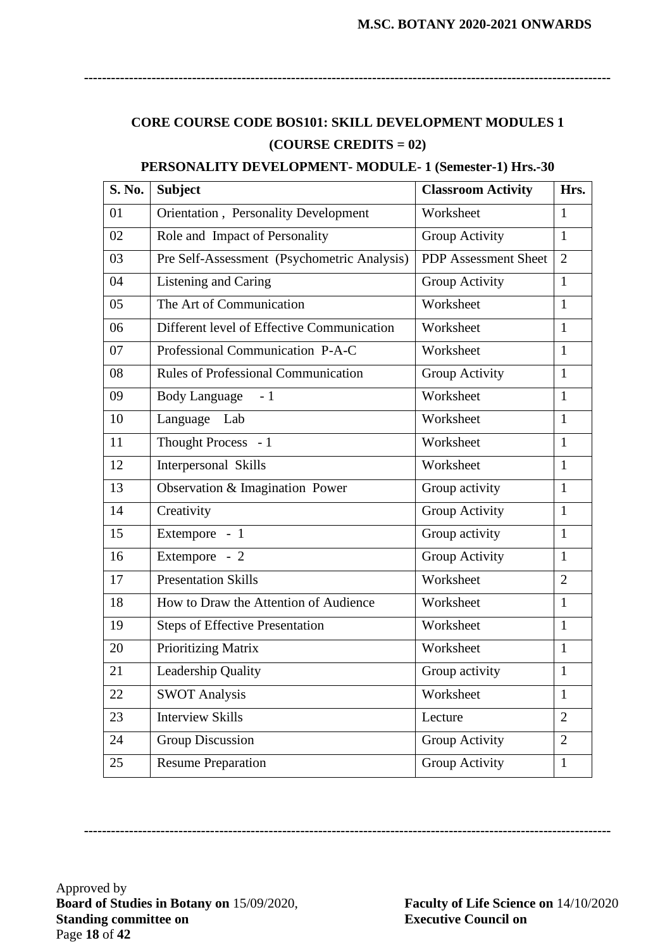# **CORE COURSE CODE BOS101: SKILL DEVELOPMENT MODULES 1 (COURSE CREDITS = 02)**

**---------------------------------------------------------------------------------------------------------------------**

#### **PERSONALITY DEVELOPMENT- MODULE- 1 (Semester-1) Hrs.-30**

| <b>S. No.</b> | <b>Subject</b>                              | <b>Classroom Activity</b>   | Hrs.           |
|---------------|---------------------------------------------|-----------------------------|----------------|
| 01            | Orientation, Personality Development        | Worksheet                   | 1              |
| 02            | Role and Impact of Personality              | Group Activity              | $\mathbf{1}$   |
| 03            | Pre Self-Assessment (Psychometric Analysis) | <b>PDP</b> Assessment Sheet | $\overline{2}$ |
| 04            | Listening and Caring                        | Group Activity              | $\mathbf{1}$   |
| 05            | The Art of Communication                    | Worksheet                   | $\mathbf{1}$   |
| 06            | Different level of Effective Communication  | Worksheet                   | $\mathbf{1}$   |
| 07            | Professional Communication P-A-C            | Worksheet                   | $\mathbf{1}$   |
| 08            | Rules of Professional Communication         | Group Activity              | 1              |
| 09            | <b>Body Language</b><br>$-1$                | Worksheet                   | $\mathbf{1}$   |
| 10            | Language Lab                                | Worksheet                   | $\mathbf{1}$   |
| 11            | Thought Process - 1                         | Worksheet                   | $\mathbf{1}$   |
| 12            | Interpersonal Skills                        | Worksheet                   | $\mathbf{1}$   |
| 13            | Observation & Imagination Power             | Group activity              | $\mathbf{1}$   |
| 14            | Creativity                                  | Group Activity              | $\mathbf{1}$   |
| 15            | Extempore - 1                               | Group activity              | $\mathbf{1}$   |
| 16            | Extempore - 2                               | Group Activity              | $\mathbf{1}$   |
| 17            | <b>Presentation Skills</b>                  | Worksheet                   | $\overline{2}$ |
| 18            | How to Draw the Attention of Audience       | Worksheet                   | 1              |
| 19            | <b>Steps of Effective Presentation</b>      | Worksheet                   | $\mathbf{1}$   |
| 20            | Prioritizing Matrix                         | Worksheet                   | $\mathbf{1}$   |
| 21            | Leadership Quality                          | Group activity              | $\mathbf{1}$   |
| 22            | <b>SWOT Analysis</b>                        | Worksheet                   | $\mathbf{1}$   |
| 23            | <b>Interview Skills</b>                     | Lecture                     | $\overline{2}$ |
| 24            | <b>Group Discussion</b>                     | Group Activity              | $\overline{2}$ |
| 25            | <b>Resume Preparation</b>                   | Group Activity              | $\mathbf{1}$   |

**---------------------------------------------------------------------------------------------------------------------**

Approved by **Board of Studies in Botany on** 15/09/2020, **Faculty of Life Science on** 14/10/2020 **Standing committee on Executive Council on** Page **18** of **42**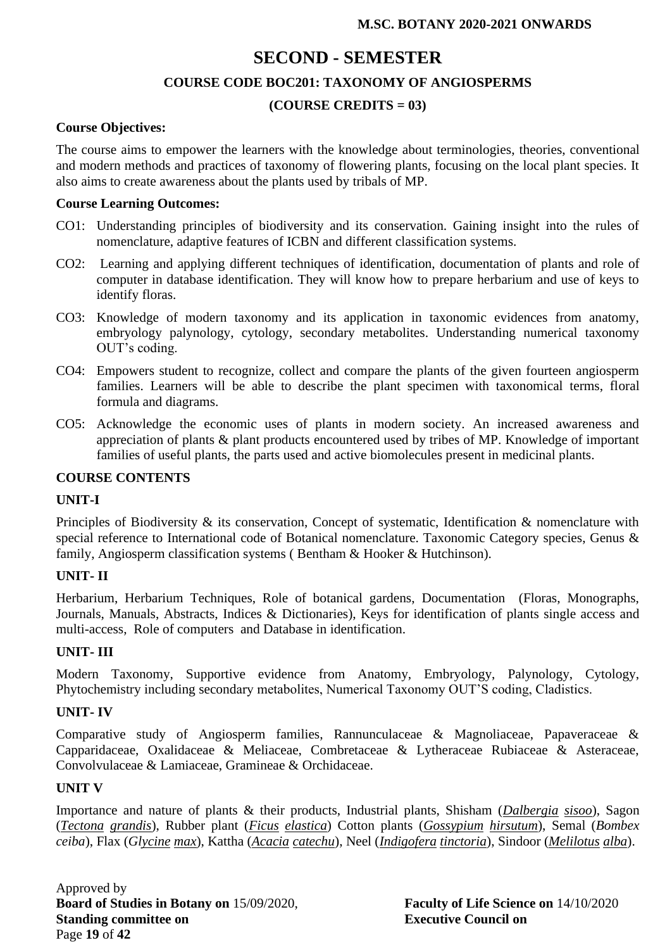# **SECOND - SEMESTER COURSE CODE BOC201: TAXONOMY OF ANGIOSPERMS (COURSE CREDITS = 03)**

#### **Course Objectives:**

The course aims to empower the learners with the knowledge about terminologies, theories, conventional and modern methods and practices of taxonomy of flowering plants, focusing on the local plant species. It also aims to create awareness about the plants used by tribals of MP.

#### **Course Learning Outcomes:**

- CO1: Understanding principles of biodiversity and its conservation. Gaining insight into the rules of nomenclature, adaptive features of ICBN and different classification systems.
- CO2: Learning and applying different techniques of identification, documentation of plants and role of computer in database identification. They will know how to prepare herbarium and use of keys to identify floras.
- CO3: Knowledge of modern taxonomy and its application in taxonomic evidences from anatomy, embryology palynology, cytology, secondary metabolites. Understanding numerical taxonomy OUT's coding.
- CO4: Empowers student to recognize, collect and compare the plants of the given fourteen angiosperm families. Learners will be able to describe the plant specimen with taxonomical terms, floral formula and diagrams.
- CO5: Acknowledge the economic uses of plants in modern society. An increased awareness and appreciation of plants & plant products encountered used by tribes of MP. Knowledge of important families of useful plants, the parts used and active biomolecules present in medicinal plants.

## **COURSE CONTENTS**

#### **UNIT-I**

Principles of Biodiversity & its conservation, Concept of systematic, Identification & nomenclature with special reference to International code of Botanical nomenclature. Taxonomic Category species, Genus & family, Angiosperm classification systems (Bentham & Hooker & Hutchinson).

#### **UNIT- II**

Herbarium, Herbarium Techniques, Role of botanical gardens, Documentation (Floras, Monographs, Journals, Manuals, Abstracts, Indices & Dictionaries), Keys for identification of plants single access and multi-access, Role of computers and Database in identification.

## **UNIT- III**

Modern Taxonomy, Supportive evidence from Anatomy, Embryology, Palynology, Cytology, Phytochemistry including secondary metabolites, Numerical Taxonomy OUT'S coding, Cladistics.

#### **UNIT- IV**

Comparative study of Angiosperm families, Rannunculaceae & Magnoliaceae, Papaveraceae & Capparidaceae, Oxalidaceae & Meliaceae, Combretaceae & Lytheraceae Rubiaceae & Asteraceae, Convolvulaceae & Lamiaceae, Gramineae & Orchidaceae.

#### **UNIT V**

Importance and nature of plants & their products, Industrial plants, Shisham (*Dalbergia sisoo*), Sagon (*Tectona grandis*), Rubber plant (*Ficus elastica*) Cotton plants (*Gossypium hirsutum*), Semal (*Bombex ceiba*), Flax (*Glycine max*), Kattha (*Acacia catechu*), Neel (*Indigofera tinctoria*), Sindoor (*Melilotus alba*).

Approved by **Board of Studies in Botany on** 15/09/2020, **Faculty of Life Science on** 14/10/2020 **Standing committee on Executive Council on** Page **19** of **42**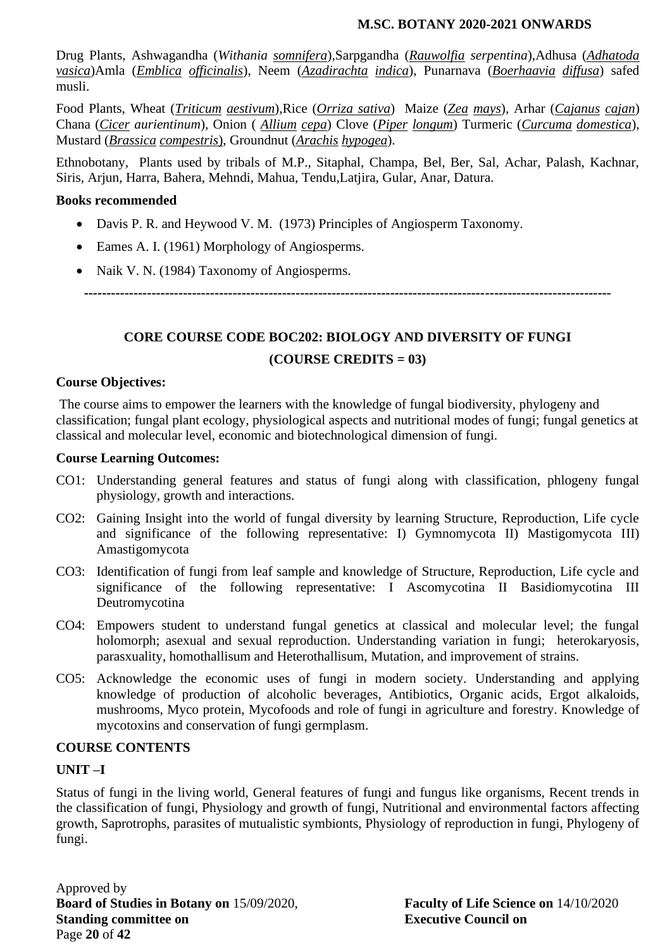Drug Plants, Ashwagandha (*Withania somnifera*),Sarpgandha (*Rauwolfia serpentina*),Adhusa (*Adhatoda vasica*)Amla (*Emblica officinalis*), Neem (*Azadirachta indica*), Punarnava (*Boerhaavia diffusa*) safed musli.

Food Plants, Wheat (*Triticum aestivum*),Rice (*Orriza sativa*) Maize (*Zea mays*), Arhar (*Cajanus cajan*) Chana (*Cicer aurientinum*), Onion ( *Allium cepa*) Clove (*Piper longum*) Turmeric (*Curcuma domestica*), Mustard (*Brassica compestris*), Groundnut (*Arachis hypogea*).

Ethnobotany, Plants used by tribals of M.P., Sitaphal, Champa, Bel, Ber, Sal, Achar, Palash, Kachnar, Siris, Arjun, Harra, Bahera, Mehndi, Mahua, Tendu,Latjira, Gular, Anar, Datura.

#### **Books recommended**

- Davis P. R. and Heywood V. M. (1973) Principles of Angiosperm Taxonomy.
- Eames A. I. (1961) Morphology of Angiosperms.
- Naik V. N. (1984) Taxonomy of Angiosperms.

**---------------------------------------------------------------------------------------------------------------------**

# **CORE COURSE CODE BOC202: BIOLOGY AND DIVERSITY OF FUNGI (COURSE CREDITS = 03)**

## **Course Objectives:**

The course aims to empower the learners with the knowledge of fungal biodiversity, phylogeny and classification; fungal plant ecology, physiological aspects and nutritional modes of fungi; fungal genetics at classical and molecular level, economic and biotechnological dimension of fungi.

#### **Course Learning Outcomes:**

- CO1: Understanding general features and status of fungi along with classification, phlogeny fungal physiology, growth and interactions.
- CO2: Gaining Insight into the world of fungal diversity by learning Structure, Reproduction, Life cycle and significance of the following representative: I) Gymnomycota II) Mastigomycota III) Amastigomycota
- CO3: Identification of fungi from leaf sample and knowledge of Structure, Reproduction, Life cycle and significance of the following representative: I Ascomycotina II Basidiomycotina III Deutromycotina
- CO4: Empowers student to understand fungal genetics at classical and molecular level; the fungal holomorph; asexual and sexual reproduction. Understanding variation in fungi; heterokaryosis, parasxuality, homothallisum and Heterothallisum, Mutation, and improvement of strains.
- CO5: Acknowledge the economic uses of fungi in modern society. Understanding and applying knowledge of production of alcoholic beverages, Antibiotics, Organic acids, Ergot alkaloids, mushrooms, Myco protein, Mycofoods and role of fungi in agriculture and forestry. Knowledge of mycotoxins and conservation of fungi germplasm.

#### **COURSE CONTENTS**

#### **UNIT –I**

Status of fungi in the living world, General features of fungi and fungus like organisms, Recent trends in the classification of fungi, Physiology and growth of fungi, Nutritional and environmental factors affecting growth, Saprotrophs, parasites of mutualistic symbionts, Physiology of reproduction in fungi, Phylogeny of fungi.

Approved by **Board of Studies in Botany on** 15/09/2020, **Faculty of Life Science on** 14/10/2020 **Standing committee on Executive Council on** Page **20** of **42**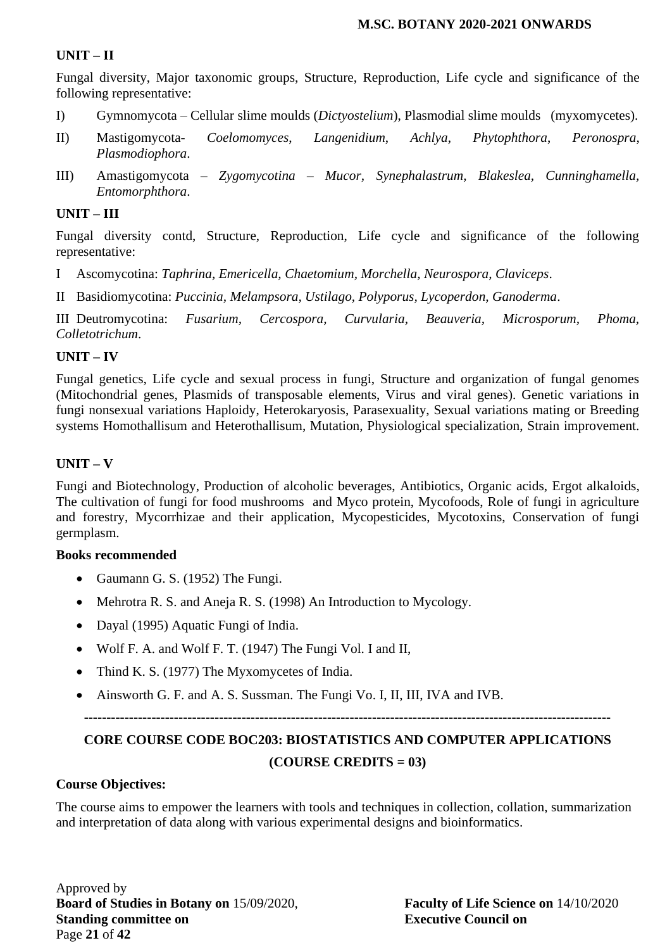#### **UNIT – II**

Fungal diversity, Major taxonomic groups, Structure, Reproduction, Life cycle and significance of the following representative:

- I) Gymnomycota Cellular slime moulds (*Dictyostelium*), Plasmodial slime moulds (myxomycetes).
- II) Mastigomycota- *Coelomomyces*, *Langenidium*, *Achlya*, *Phytophthora*, *Peronospra*, *Plasmodiophora*.
- III) Amastigomycota *Zygomycotina Mucor, Synephalastrum, Blakeslea, Cunninghamella, Entomorphthora*.

#### **UNIT – III**

Fungal diversity contd, Structure, Reproduction, Life cycle and significance of the following representative:

I Ascomycotina: *Taphrina, Emericella, Chaetomium, Morchella, Neurospora, Claviceps*.

II Basidiomycotina: *Puccinia, Melampsora, Ustilago, Polyporus, Lycoperdon, Ganoderma*.

III Deutromycotina: *Fusarium, Cercospora, Curvularia, Beauveria, Microsporum, Phoma, Colletotrichum*.

## **UNIT – IV**

Fungal genetics, Life cycle and sexual process in fungi, Structure and organization of fungal genomes (Mitochondrial genes, Plasmids of transposable elements, Virus and viral genes). Genetic variations in fungi nonsexual variations Haploidy, Heterokaryosis, Parasexuality, Sexual variations mating or Breeding systems Homothallisum and Heterothallisum, Mutation, Physiological specialization, Strain improvement.

## **UNIT – V**

Fungi and Biotechnology, Production of alcoholic beverages, Antibiotics, Organic acids, Ergot alkaloids, The cultivation of fungi for food mushrooms and Myco protein, Mycofoods, Role of fungi in agriculture and forestry, Mycorrhizae and their application, Mycopesticides, Mycotoxins, Conservation of fungi germplasm.

#### **Books recommended**

- Gaumann G. S. (1952) The Fungi.
- Mehrotra R. S. and Aneja R. S. (1998) An Introduction to Mycology.
- Dayal (1995) Aquatic Fungi of India.
- Wolf F. A. and Wolf F. T. (1947) The Fungi Vol. I and II,
- Thind K. S. (1977) The Myxomycetes of India.
- Ainsworth G. F. and A. S. Sussman. The Fungi Vo. I, II, III, IVA and IVB.

**---------------------------------------------------------------------------------------------------------------------**

# **CORE COURSE CODE BOC203: BIOSTATISTICS AND COMPUTER APPLICATIONS (COURSE CREDITS = 03)**

#### **Course Objectives:**

The course aims to empower the learners with tools and techniques in collection, collation, summarization and interpretation of data along with various experimental designs and bioinformatics.

Approved by **Board of Studies in Botany on** 15/09/2020, **Faculty of Life Science on** 14/10/2020 **Standing committee on Executive Council on** Page **21** of **42**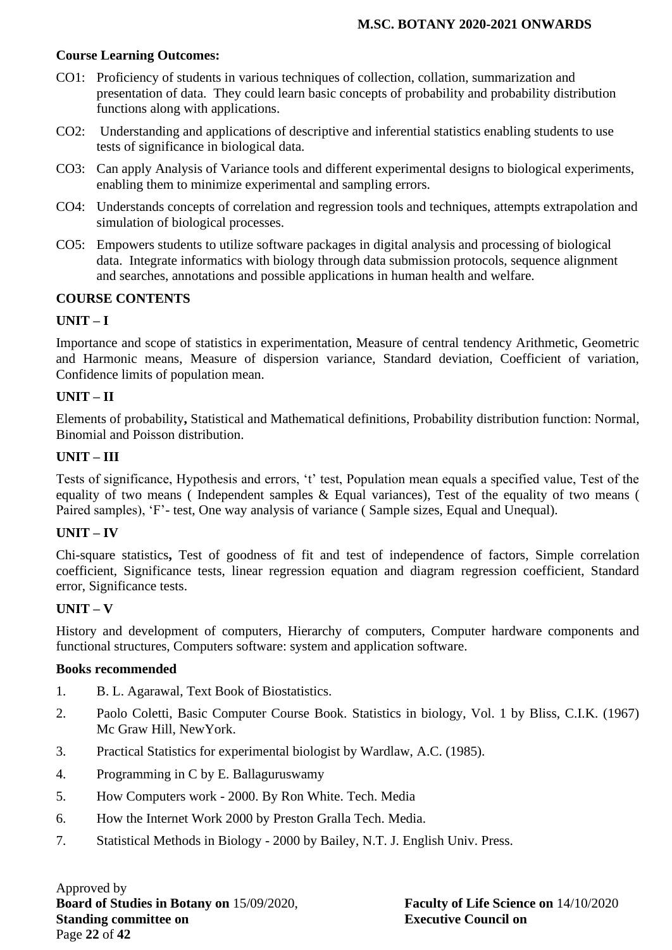## **Course Learning Outcomes:**

- CO1: Proficiency of students in various techniques of collection, collation, summarization and presentation of data. They could learn basic concepts of probability and probability distribution functions along with applications.
- CO2: Understanding and applications of descriptive and inferential statistics enabling students to use tests of significance in biological data.
- CO3: Can apply Analysis of Variance tools and different experimental designs to biological experiments, enabling them to minimize experimental and sampling errors.
- CO4: Understands concepts of correlation and regression tools and techniques, attempts extrapolation and simulation of biological processes.
- CO5: Empowers students to utilize software packages in digital analysis and processing of biological data. Integrate informatics with biology through data submission protocols, sequence alignment and searches, annotations and possible applications in human health and welfare.

## **COURSE CONTENTS**

## **UNIT – I**

Importance and scope of statistics in experimentation, Measure of central tendency Arithmetic, Geometric and Harmonic means, Measure of dispersion variance, Standard deviation, Coefficient of variation, Confidence limits of population mean.

## **UNIT – II**

Elements of probability**,** Statistical and Mathematical definitions, Probability distribution function: Normal, Binomial and Poisson distribution.

## **UNIT – III**

Tests of significance, Hypothesis and errors, 't' test, Population mean equals a specified value, Test of the equality of two means ( Independent samples & Equal variances), Test of the equality of two means ( Paired samples), 'F'- test, One way analysis of variance ( Sample sizes, Equal and Unequal).

#### **UNIT – IV**

Chi-square statistics**,** Test of goodness of fit and test of independence of factors, Simple correlation coefficient, Significance tests, linear regression equation and diagram regression coefficient, Standard error, Significance tests.

#### **UNIT – V**

History and development of computers, Hierarchy of computers, Computer hardware components and functional structures, Computers software: system and application software.

#### **Books recommended**

- 1. B. L. Agarawal, Text Book of Biostatistics.
- 2. Paolo Coletti, Basic Computer Course Book. Statistics in biology, Vol. 1 by Bliss, C.I.K. (1967) Mc Graw Hill, NewYork.
- 3. Practical Statistics for experimental biologist by Wardlaw, A.C. (1985).
- 4. Programming in C by E. Ballaguruswamy
- 5. How Computers work 2000. By Ron White. Tech. Media
- 6. How the Internet Work 2000 by Preston Gralla Tech. Media.
- 7. Statistical Methods in Biology 2000 by Bailey, N.T. J. English Univ. Press.

Approved by **Board of Studies in Botany on** 15/09/2020, **Faculty of Life Science on** 14/10/2020 **Standing committee on Executive Council on** Page **22** of **42**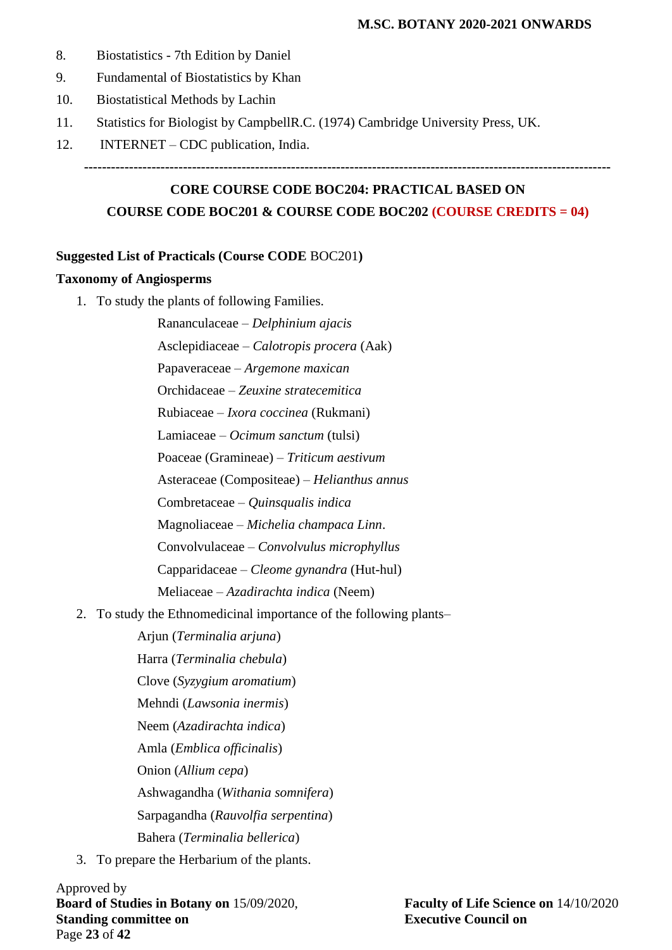- 8. Biostatistics 7th Edition by Daniel
- 9. Fundamental of Biostatistics by Khan
- 10. Biostatistical Methods by Lachin
- 11. Statistics for Biologist by CampbellR.C. (1974) Cambridge University Press, UK.
- 12. INTERNET CDC publication, India.

```
---------------------------------------------------------------------------------------------------------------------
```
# **CORE COURSE CODE BOC204: PRACTICAL BASED ON COURSE CODE BOC201 & COURSE CODE BOC202 (COURSE CREDITS = 04)**

#### **Suggested List of Practicals (Course CODE** BOC201**)**

#### **Taxonomy of Angiosperms**

1. To study the plants of following Families.

Rananculaceae – *Delphinium ajacis* Asclepidiaceae – *Calotropis procera* (Aak) Papaveraceae – *Argemone maxican* Orchidaceae – *Zeuxine stratecemitica* Rubiaceae – *Ixora coccinea* (Rukmani) Lamiaceae – *Ocimum sanctum* (tulsi) Poaceae (Gramineae) – *Triticum aestivum* Asteraceae (Compositeae) – *Helianthus annus* Combretaceae – *Quinsqualis indica* Magnoliaceae – *Michelia champaca Linn*. Convolvulaceae – *Convolvulus microphyllus* Capparidaceae – *Cleome gynandra* (Hut-hul) Meliaceae – *Azadirachta indica* (Neem)

- 2. To study the Ethnomedicinal importance of the following plants–
	- Arjun (*Terminalia arjuna*) Harra (*Terminalia chebula*) Clove (*Syzygium aromatium*) Mehndi (*Lawsonia inermis*) Neem (*Azadirachta indica*) Amla (*Emblica officinalis*) Onion (*Allium cepa*) Ashwagandha (*Withania somnifera*) Sarpagandha (*Rauvolfia serpentina*) Bahera (*Terminalia bellerica*)
- 3. To prepare the Herbarium of the plants.

Approved by **Board of Studies in Botany on** 15/09/2020, **Faculty of Life Science on** 14/10/2020 **Standing committee on Executive Council on** Page **23** of **42**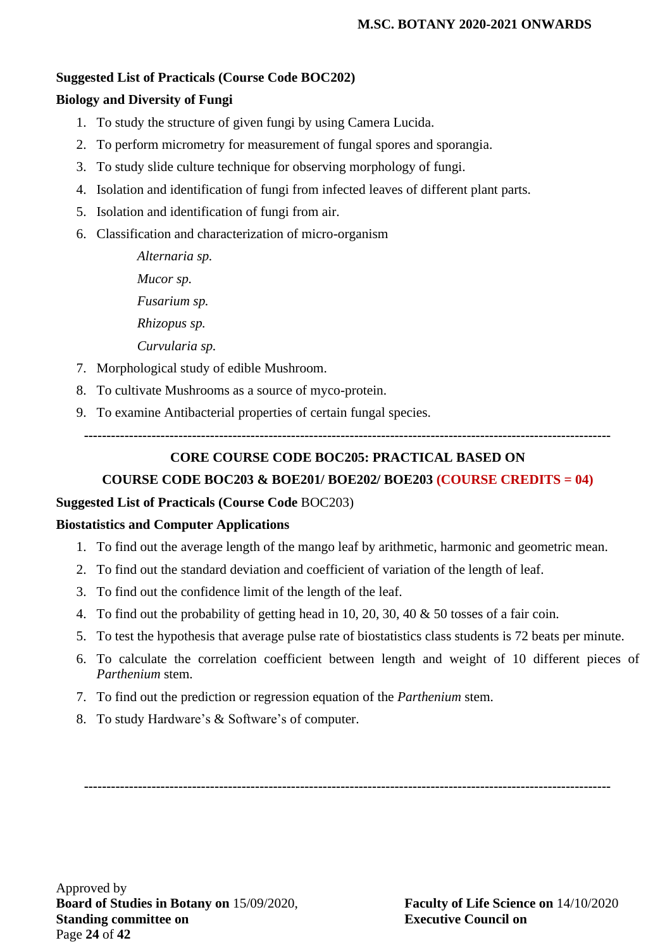#### **Suggested List of Practicals (Course Code BOC202)**

### **Biology and Diversity of Fungi**

- 1. To study the structure of given fungi by using Camera Lucida.
- 2. To perform micrometry for measurement of fungal spores and sporangia.
- 3. To study slide culture technique for observing morphology of fungi.
- 4. Isolation and identification of fungi from infected leaves of different plant parts.
- 5. Isolation and identification of fungi from air.
- 6. Classification and characterization of micro-organism

*Alternaria sp. Mucor sp. Fusarium sp. Rhizopus sp. Curvularia sp.*

- 7. Morphological study of edible Mushroom.
- 8. To cultivate Mushrooms as a source of myco-protein.
- 9. To examine Antibacterial properties of certain fungal species.

**---------------------------------------------------------------------------------------------------------------------**

## **CORE COURSE CODE BOC205: PRACTICAL BASED ON**

## **COURSE CODE BOC203 & BOE201/ BOE202/ BOE203 (COURSE CREDITS = 04)**

#### **Suggested List of Practicals (Course Code** BOC203)

#### **Biostatistics and Computer Applications**

- 1. To find out the average length of the mango leaf by arithmetic, harmonic and geometric mean.
- 2. To find out the standard deviation and coefficient of variation of the length of leaf.
- 3. To find out the confidence limit of the length of the leaf.
- 4. To find out the probability of getting head in 10, 20, 30, 40 & 50 tosses of a fair coin.
- 5. To test the hypothesis that average pulse rate of biostatistics class students is 72 beats per minute.
- 6. To calculate the correlation coefficient between length and weight of 10 different pieces of *Parthenium* stem.
- 7. To find out the prediction or regression equation of the *Parthenium* stem.
- 8. To study Hardware's & Software's of computer.

**---------------------------------------------------------------------------------------------------------------------**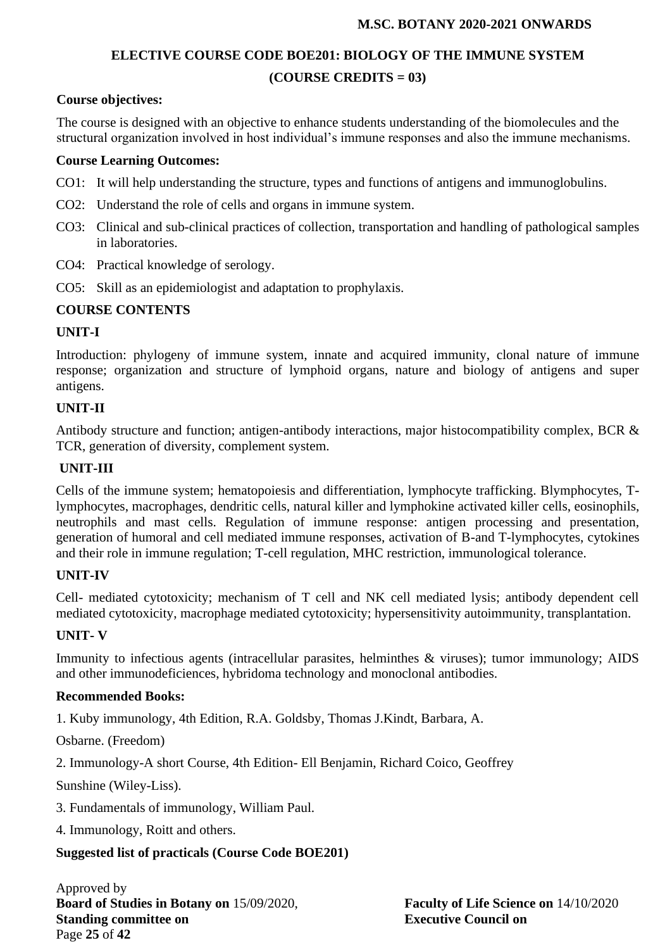## **ELECTIVE COURSE CODE BOE201: BIOLOGY OF THE IMMUNE SYSTEM (COURSE CREDITS = 03)**

#### **Course objectives:**

The course is designed with an objective to enhance students understanding of the biomolecules and the structural organization involved in host individual's immune responses and also the immune mechanisms.

#### **Course Learning Outcomes:**

- CO1: It will help understanding the structure, types and functions of antigens and immunoglobulins.
- CO2: Understand the role of cells and organs in immune system.
- CO3: Clinical and sub-clinical practices of collection, transportation and handling of pathological samples in laboratories.
- CO4: Practical knowledge of serology.
- CO5: Skill as an epidemiologist and adaptation to prophylaxis.

#### **COURSE CONTENTS**

#### **UNIT-I**

Introduction: phylogeny of immune system, innate and acquired immunity, clonal nature of immune response; organization and structure of lymphoid organs, nature and biology of antigens and super antigens.

#### **UNIT-II**

Antibody structure and function; antigen-antibody interactions, major histocompatibility complex, BCR & TCR, generation of diversity, complement system.

### **UNIT-III**

Cells of the immune system; hematopoiesis and differentiation, lymphocyte trafficking. Blymphocytes, Tlymphocytes, macrophages, dendritic cells, natural killer and lymphokine activated killer cells, eosinophils, neutrophils and mast cells. Regulation of immune response: antigen processing and presentation, generation of humoral and cell mediated immune responses, activation of B-and T-lymphocytes, cytokines and their role in immune regulation; T-cell regulation, MHC restriction, immunological tolerance.

#### **UNIT-IV**

Cell- mediated cytotoxicity; mechanism of T cell and NK cell mediated lysis; antibody dependent cell mediated cytotoxicity, macrophage mediated cytotoxicity; hypersensitivity autoimmunity, transplantation.

#### **UNIT- V**

Immunity to infectious agents (intracellular parasites, helminthes & viruses); tumor immunology; AIDS and other immunodeficiences, hybridoma technology and monoclonal antibodies.

#### **Recommended Books:**

1. Kuby immunology, 4th Edition, R.A. Goldsby, Thomas J.Kindt, Barbara, A.

Osbarne. (Freedom)

2. Immunology-A short Course, 4th Edition- Ell Benjamin, Richard Coico, Geoffrey

Sunshine (Wiley-Liss).

- 3. Fundamentals of immunology, William Paul.
- 4. Immunology, Roitt and others.

#### **Suggested list of practicals (Course Code BOE201)**

Approved by **Board of Studies in Botany on** 15/09/2020, **Faculty of Life Science on** 14/10/2020 **Standing committee on Executive Council on** Page **25** of **42**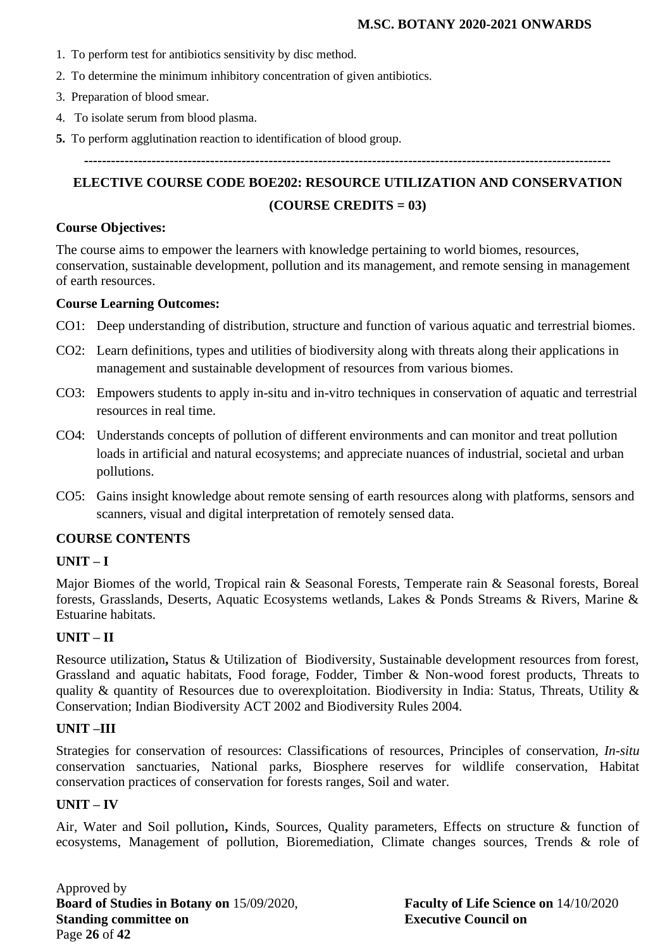- 1. To perform test for antibiotics sensitivity by disc method.
- 2. To determine the minimum inhibitory concentration of given antibiotics.
- 3. Preparation of blood smear.
- 4. To isolate serum from blood plasma.
- **5.** To perform agglutination reaction to identification of blood group.

**---------------------------------------------------------------------------------------------------------------------**

# **ELECTIVE COURSE CODE BOE202: RESOURCE UTILIZATION AND CONSERVATION (COURSE CREDITS = 03)**

#### **Course Objectives:**

The course aims to empower the learners with knowledge pertaining to world biomes, resources, conservation, sustainable development, pollution and its management, and remote sensing in management of earth resources.

#### **Course Learning Outcomes:**

- CO1: Deep understanding of distribution, structure and function of various aquatic and terrestrial biomes.
- CO2: Learn definitions, types and utilities of biodiversity along with threats along their applications in management and sustainable development of resources from various biomes.
- CO3: Empowers students to apply in-situ and in-vitro techniques in conservation of aquatic and terrestrial resources in real time.
- CO4: Understands concepts of pollution of different environments and can monitor and treat pollution loads in artificial and natural ecosystems; and appreciate nuances of industrial, societal and urban pollutions.
- CO5: Gains insight knowledge about remote sensing of earth resources along with platforms, sensors and scanners, visual and digital interpretation of remotely sensed data.

#### **COURSE CONTENTS**

#### **UNIT – I**

Major Biomes of the world, Tropical rain & Seasonal Forests, Temperate rain & Seasonal forests, Boreal forests, Grasslands, Deserts, Aquatic Ecosystems wetlands, Lakes & Ponds Streams & Rivers, Marine & Estuarine habitats.

#### **UNIT – II**

Resource utilization**,** Status & Utilization of Biodiversity, Sustainable development resources from forest, Grassland and aquatic habitats, Food forage, Fodder, Timber & Non-wood forest products, Threats to quality & quantity of Resources due to overexploitation. Biodiversity in India: Status, Threats, Utility & Conservation; Indian Biodiversity ACT 2002 and Biodiversity Rules 2004.

#### **UNIT –III**

Strategies for conservation of resources: Classifications of resources, Principles of conservation, *In-situ* conservation sanctuaries, National parks, Biosphere reserves for wildlife conservation, Habitat conservation practices of conservation for forests ranges, Soil and water.

#### **UNIT – IV**

Air, Water and Soil pollution**,** Kinds, Sources, Quality parameters, Effects on structure & function of ecosystems, Management of pollution, Bioremediation, Climate changes sources, Trends & role of

Approved by **Board of Studies in Botany on** 15/09/2020, **Faculty of Life Science on** 14/10/2020 **Standing committee on Executive Council on** Page **26** of **42**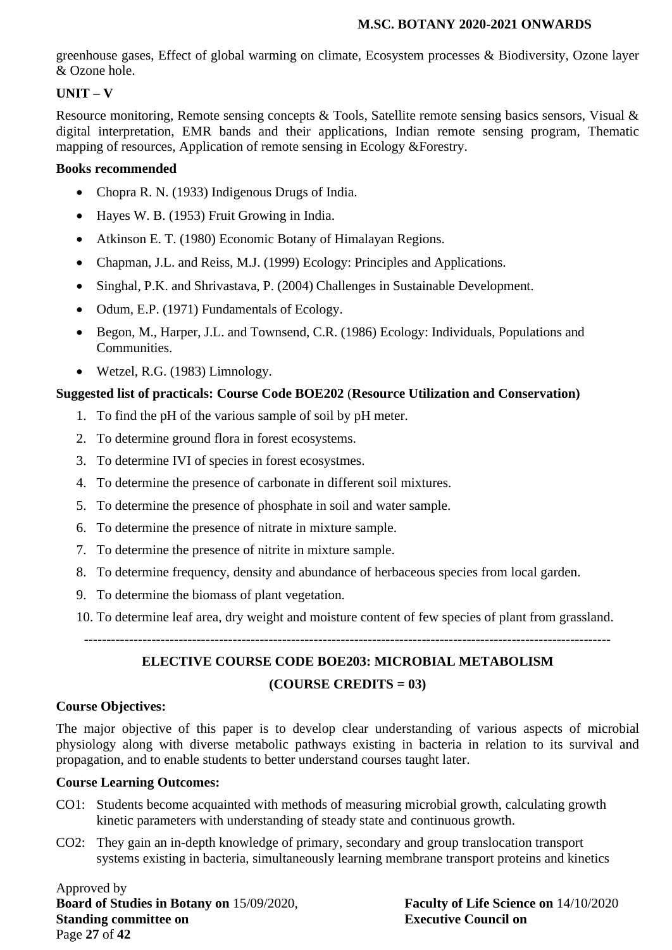greenhouse gases, Effect of global warming on climate, Ecosystem processes & Biodiversity, Ozone layer & Ozone hole.

## **UNIT – V**

Resource monitoring, Remote sensing concepts & Tools, Satellite remote sensing basics sensors, Visual & digital interpretation, EMR bands and their applications, Indian remote sensing program, Thematic mapping of resources, Application of remote sensing in Ecology &Forestry.

## **Books recommended**

- Chopra R. N. (1933) Indigenous Drugs of India.
- Hayes W. B. (1953) Fruit Growing in India.
- Atkinson E. T. (1980) Economic Botany of Himalayan Regions.
- Chapman, J.L. and Reiss, M.J. (1999) Ecology: Principles and Applications.
- Singhal, P.K. and Shrivastava, P. (2004) Challenges in Sustainable Development.
- Odum, E.P. (1971) Fundamentals of Ecology.
- Begon, M., Harper, J.L. and Townsend, C.R. (1986) Ecology: Individuals, Populations and Communities.
- Wetzel, R.G. (1983) Limnology.

## **Suggested list of practicals: Course Code BOE202** (**Resource Utilization and Conservation)**

- 1. To find the pH of the various sample of soil by pH meter.
- 2. To determine ground flora in forest ecosystems.
- 3. To determine IVI of species in forest ecosystmes.
- 4. To determine the presence of carbonate in different soil mixtures.
- 5. To determine the presence of phosphate in soil and water sample.
- 6. To determine the presence of nitrate in mixture sample.
- 7. To determine the presence of nitrite in mixture sample.
- 8. To determine frequency, density and abundance of herbaceous species from local garden.
- 9. To determine the biomass of plant vegetation.
- 10. To determine leaf area, dry weight and moisture content of few species of plant from grassland.

**---------------------------------------------------------------------------------------------------------------------**

# **ELECTIVE COURSE CODE BOE203: MICROBIAL METABOLISM (COURSE CREDITS = 03)**

## **Course Objectives:**

The major objective of this paper is to develop clear understanding of various aspects of microbial physiology along with diverse metabolic pathways existing in bacteria in relation to its survival and propagation, and to enable students to better understand courses taught later.

## **Course Learning Outcomes:**

- CO1: Students become acquainted with methods of measuring microbial growth, calculating growth kinetic parameters with understanding of steady state and continuous growth.
- CO2: They gain an in-depth knowledge of primary, secondary and group translocation transport systems existing in bacteria, simultaneously learning membrane transport proteins and kinetics

Approved by **Board of Studies in Botany on** 15/09/2020, **Faculty of Life Science on** 14/10/2020 **Standing committee on Executive Council on** Page **27** of **42**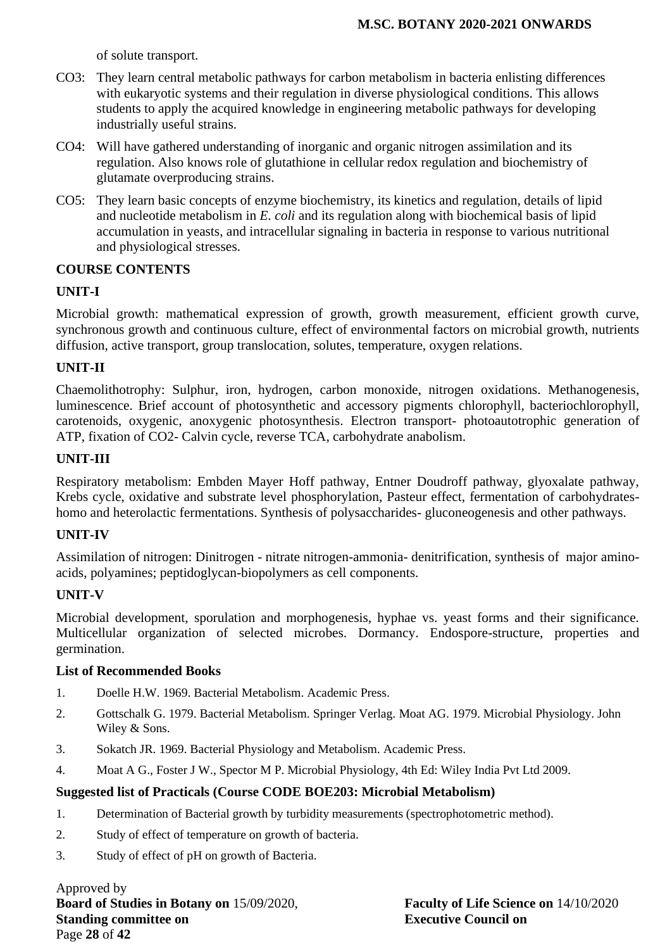of solute transport.

- CO3: They learn central metabolic pathways for carbon metabolism in bacteria enlisting differences with eukaryotic systems and their regulation in diverse physiological conditions. This allows students to apply the acquired knowledge in engineering metabolic pathways for developing industrially useful strains.
- CO4: Will have gathered understanding of inorganic and organic nitrogen assimilation and its regulation. Also knows role of glutathione in cellular redox regulation and biochemistry of glutamate overproducing strains.
- CO5: They learn basic concepts of enzyme biochemistry, its kinetics and regulation, details of lipid and nucleotide metabolism in *E. coli* and its regulation along with biochemical basis of lipid accumulation in yeasts, and intracellular signaling in bacteria in response to various nutritional and physiological stresses.

#### **COURSE CONTENTS**

#### **UNIT-I**

Microbial growth: mathematical expression of growth, growth measurement, efficient growth curve, synchronous growth and continuous culture, effect of environmental factors on microbial growth, nutrients diffusion, active transport, group translocation, solutes, temperature, oxygen relations.

## **UNIT-II**

Chaemolithotrophy: Sulphur, iron, hydrogen, carbon monoxide, nitrogen oxidations. Methanogenesis, luminescence. Brief account of photosynthetic and accessory pigments chlorophyll, bacteriochlorophyll, carotenoids, oxygenic, anoxygenic photosynthesis. Electron transport- photoautotrophic generation of ATP, fixation of CO2- Calvin cycle, reverse TCA, carbohydrate anabolism.

## **UNIT-III**

Respiratory metabolism: Embden Mayer Hoff pathway, Entner Doudroff pathway, glyoxalate pathway, Krebs cycle, oxidative and substrate level phosphorylation, Pasteur effect, fermentation of carbohydrateshomo and heterolactic fermentations. Synthesis of polysaccharides- gluconeogenesis and other pathways.

#### **UNIT-IV**

Assimilation of nitrogen: Dinitrogen - nitrate nitrogen-ammonia- denitrification, synthesis of major aminoacids, polyamines; peptidoglycan-biopolymers as cell components.

#### **UNIT-V**

Microbial development, sporulation and morphogenesis, hyphae vs. yeast forms and their significance. Multicellular organization of selected microbes. Dormancy. Endospore-structure, properties and germination.

#### **List of Recommended Books**

- 1. Doelle H.W. 1969. Bacterial Metabolism. Academic Press.
- 2. Gottschalk G. 1979. Bacterial Metabolism. Springer Verlag. Moat AG. 1979. Microbial Physiology. John Wiley & Sons.
- 3. Sokatch JR. 1969. Bacterial Physiology and Metabolism. Academic Press.
- 4. Moat A G., Foster J W., Spector M P. Microbial Physiology, 4th Ed: Wiley India Pvt Ltd 2009.

#### **Suggested list of Practicals (Course CODE BOE203: Microbial Metabolism)**

- 1. Determination of Bacterial growth by turbidity measurements (spectrophotometric method).
- 2. Study of effect of temperature on growth of bacteria.
- 3. Study of effect of pH on growth of Bacteria.

Approved by **Board of Studies in Botany on** 15/09/2020, **Faculty of Life Science on** 14/10/2020 **Standing committee on Executive Council on** Page **28** of **42**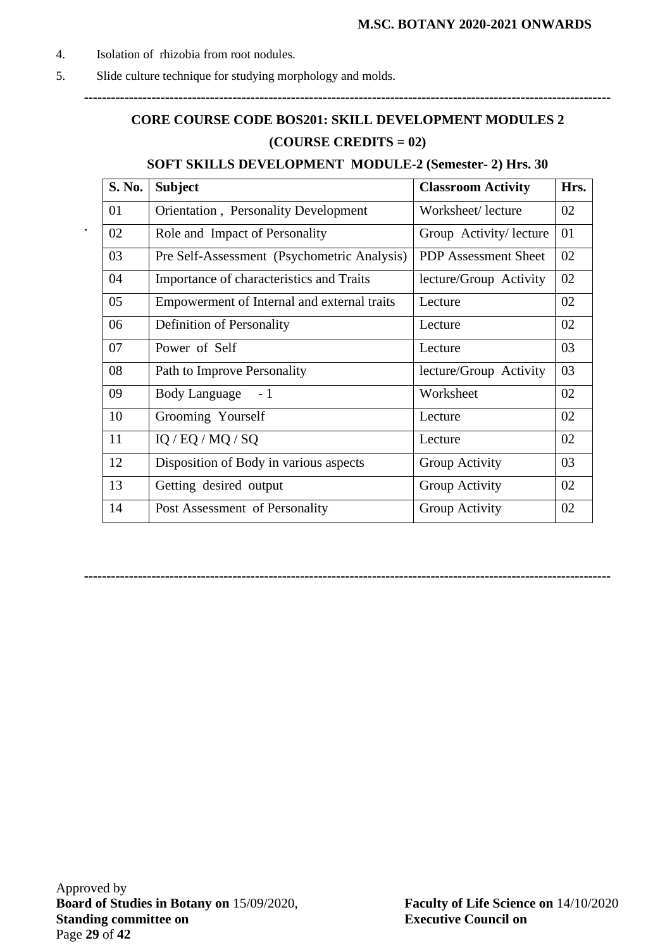- 4. Isolation of rhizobia from root nodules.
- 5. Slide culture technique for studying morphology and molds.

# **CORE COURSE CODE BOS201: SKILL DEVELOPMENT MODULES 2 (COURSE CREDITS = 02)**

**---------------------------------------------------------------------------------------------------------------------**

## **SOFT SKILLS DEVELOPMENT MODULE-2 (Semester- 2) Hrs. 30**

| S. No. | <b>Subject</b>                              | <b>Classroom Activity</b>   | Hrs. |
|--------|---------------------------------------------|-----------------------------|------|
| 01     | Orientation, Personality Development        | Worksheet/lecture           | 02   |
| 02     | Role and Impact of Personality              | Group Activity/lecture      | 01   |
| 03     | Pre Self-Assessment (Psychometric Analysis) | <b>PDP</b> Assessment Sheet | 02   |
| 04     | Importance of characteristics and Traits    | lecture/Group Activity      | 02   |
| 05     | Empowerment of Internal and external traits | Lecture                     | 02   |
| 06     | Definition of Personality                   | Lecture                     | 02   |
| 07     | Power of Self                               | Lecture                     | 03   |
| 08     | Path to Improve Personality                 | lecture/Group Activity      | 03   |
| 09     | <b>Body Language</b><br>$-1$                | Worksheet                   | 02   |
| 10     | Grooming Yourself                           | Lecture                     | 02   |
| 11     | IQ / EQ / MQ / SQ                           | Lecture                     | 02   |
| 12     | Disposition of Body in various aspects      | Group Activity              | 03   |
| 13     | Getting desired output                      | Group Activity              | 02   |
| 14     | Post Assessment of Personality              | Group Activity              | 02   |

**---------------------------------------------------------------------------------------------------------------------**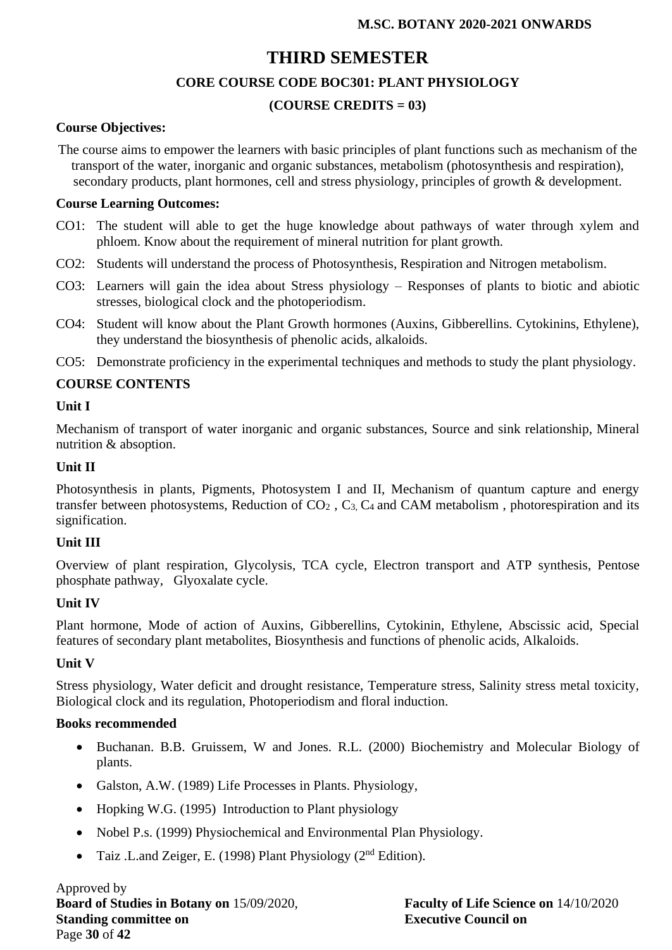# **THIRD SEMESTER**

## **CORE COURSE CODE BOC301: PLANT PHYSIOLOGY**

## **(COURSE CREDITS = 03)**

#### **Course Objectives:**

The course aims to empower the learners with basic principles of plant functions such as mechanism of the transport of the water, inorganic and organic substances, metabolism (photosynthesis and respiration), secondary products, plant hormones, cell and stress physiology, principles of growth & development.

#### **Course Learning Outcomes:**

- CO1: The student will able to get the huge knowledge about pathways of water through xylem and phloem. Know about the requirement of mineral nutrition for plant growth.
- CO2: Students will understand the process of Photosynthesis, Respiration and Nitrogen metabolism.
- CO3: Learners will gain the idea about Stress physiology Responses of plants to biotic and abiotic stresses, biological clock and the photoperiodism.
- CO4: Student will know about the Plant Growth hormones (Auxins, Gibberellins. Cytokinins, Ethylene), they understand the biosynthesis of phenolic acids, alkaloids.
- CO5: Demonstrate proficiency in the experimental techniques and methods to study the plant physiology.

## **COURSE CONTENTS**

#### **Unit I**

Mechanism of transport of water inorganic and organic substances, Source and sink relationship, Mineral nutrition & absoption.

#### **Unit II**

Photosynthesis in plants, Pigments, Photosystem I and II, Mechanism of quantum capture and energy transfer between photosystems, Reduction of  $CO<sub>2</sub>$ ,  $C<sub>3</sub>$ ,  $C<sub>4</sub>$  and CAM metabolism, photorespiration and its signification.

#### **Unit III**

Overview of plant respiration, Glycolysis, TCA cycle, Electron transport and ATP synthesis, Pentose phosphate pathway, Glyoxalate cycle.

#### **Unit IV**

Plant hormone, Mode of action of Auxins, Gibberellins, Cytokinin, Ethylene, Abscissic acid, Special features of secondary plant metabolites, Biosynthesis and functions of phenolic acids, Alkaloids.

#### **Unit V**

Stress physiology, Water deficit and drought resistance, Temperature stress, Salinity stress metal toxicity, Biological clock and its regulation, Photoperiodism and floral induction.

#### **Books recommended**

- Buchanan. B.B. Gruissem, W and Jones. R.L. (2000) Biochemistry and Molecular Biology of plants.
- Galston, A.W. (1989) Life Processes in Plants. Physiology,
- Hopking W.G. (1995) Introduction to Plant physiology
- Nobel P.s. (1999) Physiochemical and Environmental Plan Physiology.
- Taiz .L.and Zeiger, E. (1998) Plant Physiology ( $2<sup>nd</sup> Edition$ ).

Approved by **Board of Studies in Botany on** 15/09/2020, **Faculty of Life Science on** 14/10/2020 **Standing committee on Executive Council on** Page **30** of **42**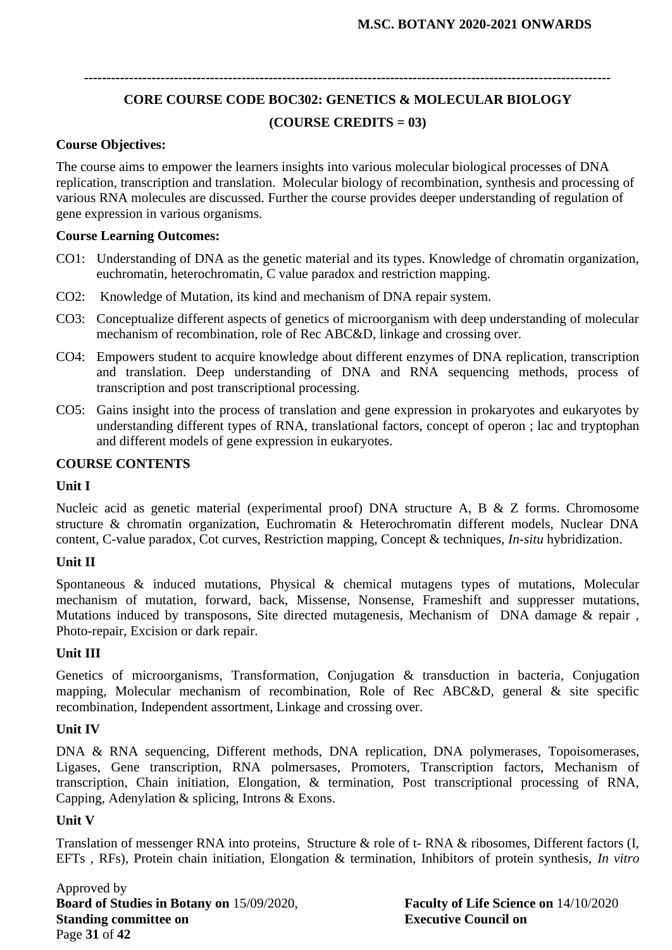# **CORE COURSE CODE BOC302: GENETICS & MOLECULAR BIOLOGY (COURSE CREDITS = 03)**

**---------------------------------------------------------------------------------------------------------------------**

#### **Course Objectives:**

The course aims to empower the learners insights into various molecular biological processes of DNA replication, transcription and translation. Molecular biology of recombination, synthesis and processing of various RNA molecules are discussed. Further the course provides deeper understanding of regulation of gene expression in various organisms.

#### **Course Learning Outcomes:**

- CO1: Understanding of DNA as the genetic material and its types. Knowledge of chromatin organization, euchromatin, heterochromatin, C value paradox and restriction mapping.
- CO2: Knowledge of Mutation, its kind and mechanism of DNA repair system.
- CO3: Conceptualize different aspects of genetics of microorganism with deep understanding of molecular mechanism of recombination, role of Rec ABC&D, linkage and crossing over.
- CO4: Empowers student to acquire knowledge about different enzymes of DNA replication, transcription and translation. Deep understanding of DNA and RNA sequencing methods, process of transcription and post transcriptional processing.
- CO5: Gains insight into the process of translation and gene expression in prokaryotes and eukaryotes by understanding different types of RNA, translational factors, concept of operon ; lac and tryptophan and different models of gene expression in eukaryotes.

#### **COURSE CONTENTS**

#### **Unit I**

Nucleic acid as genetic material (experimental proof) DNA structure A, B & Z forms. Chromosome structure & chromatin organization, Euchromatin & Heterochromatin different models, Nuclear DNA content, C-value paradox, Cot curves, Restriction mapping, Concept & techniques, *In-situ* hybridization.

#### **Unit II**

Spontaneous & induced mutations, Physical & chemical mutagens types of mutations, Molecular mechanism of mutation, forward, back, Missense, Nonsense, Frameshift and suppresser mutations, Mutations induced by transposons, Site directed mutagenesis, Mechanism of DNA damage & repair, Photo-repair, Excision or dark repair.

#### **Unit III**

Genetics of microorganisms, Transformation, Conjugation & transduction in bacteria, Conjugation mapping, Molecular mechanism of recombination, Role of Rec ABC&D, general & site specific recombination, Independent assortment, Linkage and crossing over.

#### **Unit IV**

DNA & RNA sequencing, Different methods, DNA replication, DNA polymerases, Topoisomerases, Ligases, Gene transcription, RNA polmersases, Promoters, Transcription factors, Mechanism of transcription, Chain initiation, Elongation, & termination, Post transcriptional processing of RNA, Capping, Adenylation & splicing, Introns & Exons.

### **Unit V**

Translation of messenger RNA into proteins, Structure & role of t- RNA & ribosomes, Different factors (I, EFTs , RFs), Protein chain initiation, Elongation & termination, Inhibitors of protein synthesis, *In vitro*

Approved by **Board of Studies in Botany on** 15/09/2020, **Faculty of Life Science on** 14/10/2020 **Standing committee on Executive Council on** Page **31** of **42**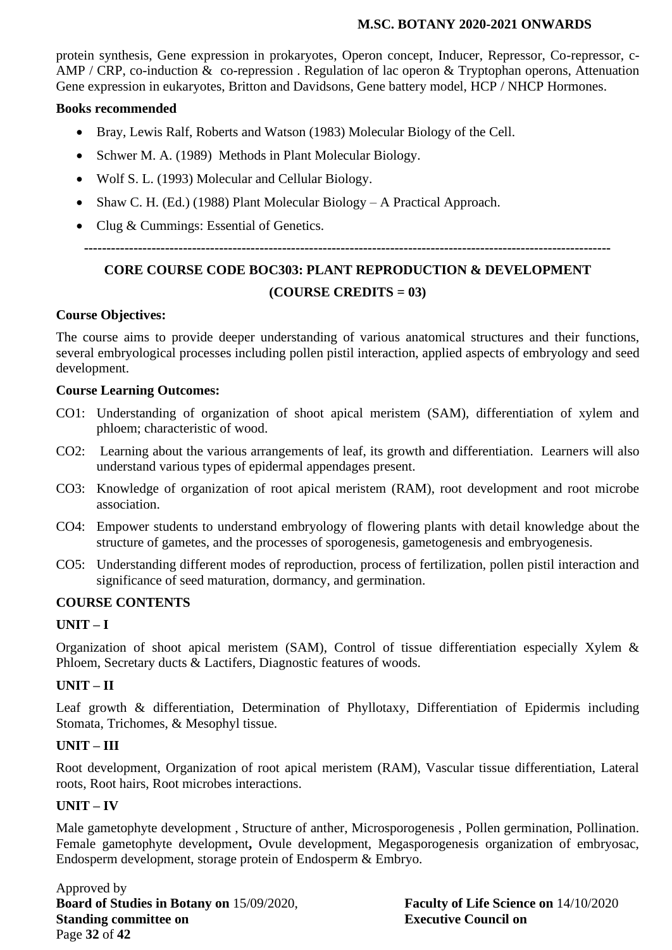protein synthesis, Gene expression in prokaryotes, Operon concept, Inducer, Repressor, Co-repressor, c-AMP / CRP, co-induction & co-repression. Regulation of lac operon & Tryptophan operons, Attenuation Gene expression in eukaryotes, Britton and Davidsons, Gene battery model, HCP / NHCP Hormones.

### **Books recommended**

- Bray, Lewis Ralf, Roberts and Watson (1983) Molecular Biology of the Cell.
- Schwer M. A. (1989) Methods in Plant Molecular Biology.
- Wolf S. L. (1993) Molecular and Cellular Biology.
- Shaw C. H. (Ed.) (1988) Plant Molecular Biology A Practical Approach.
- Clug & Cummings: Essential of Genetics.

## **---------------------------------------------------------------------------------------------------------------------**

# **CORE COURSE CODE BOC303: PLANT REPRODUCTION & DEVELOPMENT**

## **(COURSE CREDITS = 03)**

## **Course Objectives:**

The course aims to provide deeper understanding of various anatomical structures and their functions, several embryological processes including pollen pistil interaction, applied aspects of embryology and seed development.

## **Course Learning Outcomes:**

- CO1: Understanding of organization of shoot apical meristem (SAM), differentiation of xylem and phloem; characteristic of wood.
- CO2: Learning about the various arrangements of leaf, its growth and differentiation. Learners will also understand various types of epidermal appendages present.
- CO3: Knowledge of organization of root apical meristem (RAM), root development and root microbe association.
- CO4: Empower students to understand embryology of flowering plants with detail knowledge about the structure of gametes, and the processes of sporogenesis, gametogenesis and embryogenesis.
- CO5: Understanding different modes of reproduction, process of fertilization, pollen pistil interaction and significance of seed maturation, dormancy, and germination.

## **COURSE CONTENTS**

## **UNIT – I**

Organization of shoot apical meristem (SAM), Control of tissue differentiation especially Xylem & Phloem, Secretary ducts & Lactifers, Diagnostic features of woods.

## **UNIT – II**

Leaf growth & differentiation, Determination of Phyllotaxy, Differentiation of Epidermis including Stomata, Trichomes, & Mesophyl tissue.

## **UNIT – III**

Root development, Organization of root apical meristem (RAM), Vascular tissue differentiation, Lateral roots, Root hairs, Root microbes interactions.

#### **UNIT – IV**

Male gametophyte development , Structure of anther, Microsporogenesis , Pollen germination, Pollination. Female gametophyte development**,** Ovule development, Megasporogenesis organization of embryosac, Endosperm development, storage protein of Endosperm & Embryo.

Approved by **Board of Studies in Botany on** 15/09/2020, **Faculty of Life Science on** 14/10/2020 **Standing committee on Executive Council on** Page **32** of **42**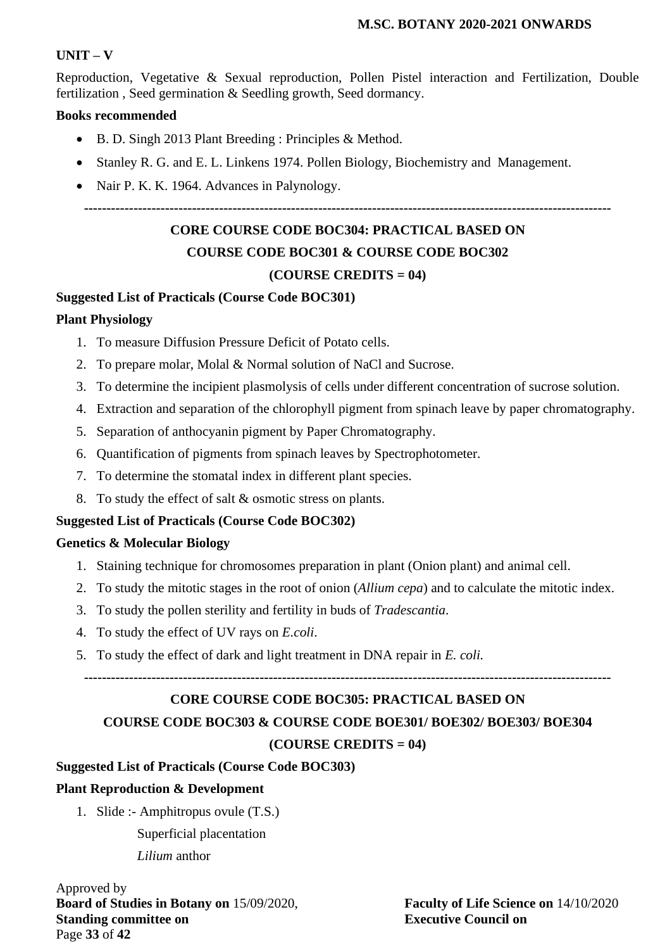#### **UNIT – V**

Reproduction, Vegetative & Sexual reproduction, Pollen Pistel interaction and Fertilization, Double fertilization , Seed germination & Seedling growth, Seed dormancy.

#### **Books recommended**

- B. D. Singh 2013 Plant Breeding : Principles & Method.
- Stanley R. G. and E. L. Linkens 1974. Pollen Biology, Biochemistry and Management.
- Nair P. K. K. 1964. Advances in Palynology.

**---------------------------------------------------------------------------------------------------------------------**

## **CORE COURSE CODE BOC304: PRACTICAL BASED ON**

## **COURSE CODE BOC301 & COURSE CODE BOC302**

#### **(COURSE CREDITS = 04)**

#### **Suggested List of Practicals (Course Code BOC301)**

#### **Plant Physiology**

- 1. To measure Diffusion Pressure Deficit of Potato cells.
- 2. To prepare molar, Molal & Normal solution of NaCl and Sucrose.
- 3. To determine the incipient plasmolysis of cells under different concentration of sucrose solution.
- 4. Extraction and separation of the chlorophyll pigment from spinach leave by paper chromatography.
- 5. Separation of anthocyanin pigment by Paper Chromatography.
- 6. Quantification of pigments from spinach leaves by Spectrophotometer.
- 7. To determine the stomatal index in different plant species.
- 8. To study the effect of salt & osmotic stress on plants.

#### **Suggested List of Practicals (Course Code BOC302)**

#### **Genetics & Molecular Biology**

- 1. Staining technique for chromosomes preparation in plant (Onion plant) and animal cell.
- 2. To study the mitotic stages in the root of onion (*Allium cepa*) and to calculate the mitotic index.
- 3. To study the pollen sterility and fertility in buds of *Tradescantia*.
- 4. To study the effect of UV rays on *E.coli*.
- 5. To study the effect of dark and light treatment in DNA repair in *E. coli.*

**---------------------------------------------------------------------------------------------------------------------**

#### **CORE COURSE CODE BOC305: PRACTICAL BASED ON**

**COURSE CODE BOC303 & COURSE CODE BOE301/ BOE302/ BOE303/ BOE304 (COURSE CREDITS = 04)**

#### **Suggested List of Practicals (Course Code BOC303)**

#### **Plant Reproduction & Development**

1. Slide :- Amphitropus ovule (T.S.)

Superficial placentation *Lilium* anthor

Approved by **Board of Studies in Botany on** 15/09/2020, **Faculty of Life Science on** 14/10/2020 **Standing committee on Executive Council on** Page **33** of **42**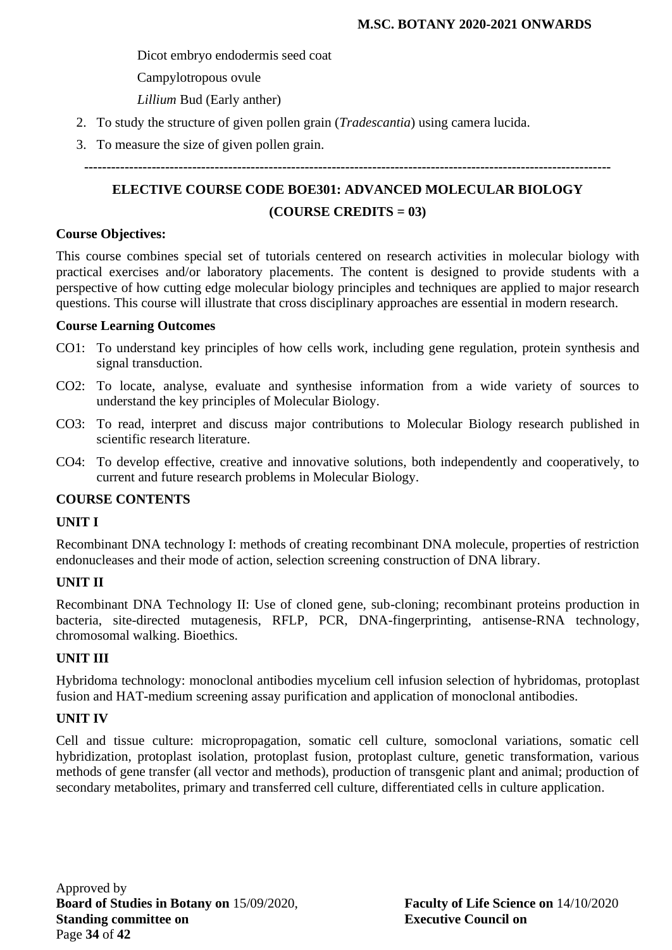Dicot embryo endodermis seed coat

Campylotropous ovule

*Lillium* Bud (Early anther)

- 2. To study the structure of given pollen grain (*Tradescantia*) using camera lucida.
- 3. To measure the size of given pollen grain.

**---------------------------------------------------------------------------------------------------------------------**

# **ELECTIVE COURSE CODE BOE301: ADVANCED MOLECULAR BIOLOGY**

#### **(COURSE CREDITS = 03)**

#### **Course Objectives:**

This course combines special set of tutorials centered on research activities in molecular biology with practical exercises and/or laboratory placements. The content is designed to provide students with a perspective of how cutting edge molecular biology principles and techniques are applied to major research questions. This course will illustrate that cross disciplinary approaches are essential in modern research.

#### **Course Learning Outcomes**

- CO1: To understand key principles of how cells work, including gene regulation, protein synthesis and signal transduction.
- CO2: To locate, analyse, evaluate and synthesise information from a wide variety of sources to understand the key principles of Molecular Biology.
- CO3: To read, interpret and discuss major contributions to Molecular Biology research published in scientific research literature.
- CO4: To develop effective, creative and innovative solutions, both independently and cooperatively, to current and future research problems in Molecular Biology.

#### **COURSE CONTENTS**

#### **UNIT I**

Recombinant DNA technology I: methods of creating recombinant DNA molecule, properties of restriction endonucleases and their mode of action, selection screening construction of DNA library.

## **UNIT II**

Recombinant DNA Technology II: Use of cloned gene, sub-cloning; recombinant proteins production in bacteria, site-directed mutagenesis, RFLP, PCR, DNA-fingerprinting, antisense-RNA technology, chromosomal walking. Bioethics.

#### **UNIT III**

Hybridoma technology: monoclonal antibodies mycelium cell infusion selection of hybridomas, protoplast fusion and HAT-medium screening assay purification and application of monoclonal antibodies.

#### **UNIT IV**

Cell and tissue culture: micropropagation, somatic cell culture, somoclonal variations, somatic cell hybridization, protoplast isolation, protoplast fusion, protoplast culture, genetic transformation, various methods of gene transfer (all vector and methods), production of transgenic plant and animal; production of secondary metabolites, primary and transferred cell culture, differentiated cells in culture application.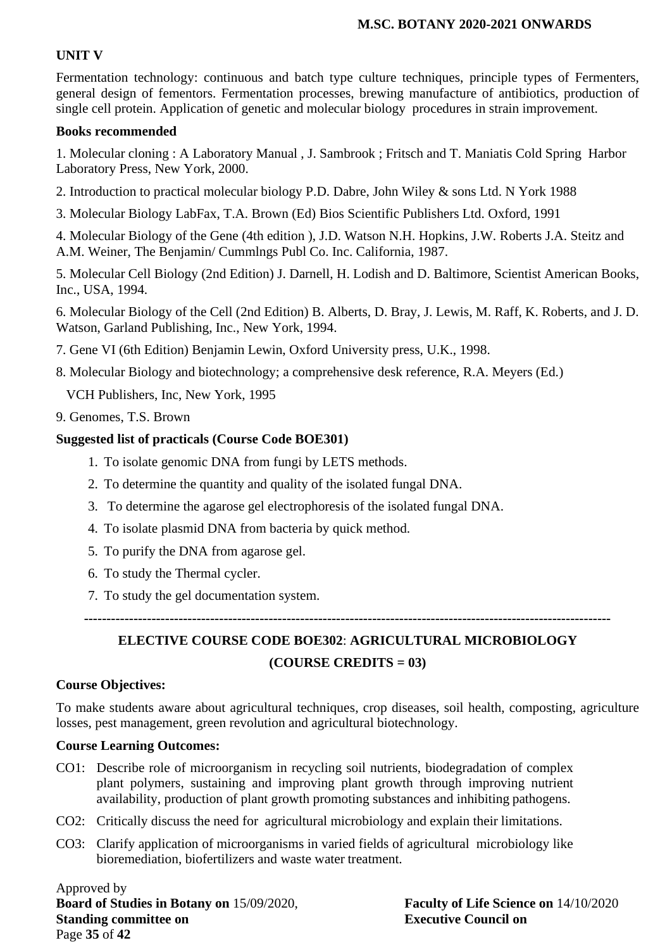#### **UNIT V**

Fermentation technology: continuous and batch type culture techniques, principle types of Fermenters, general design of fementors. Fermentation processes, brewing manufacture of antibiotics, production of single cell protein. Application of genetic and molecular biology procedures in strain improvement.

#### **Books recommended**

1. Molecular cloning : A Laboratory Manual , J. Sambrook ; Fritsch and T. Maniatis Cold Spring Harbor Laboratory Press, New York, 2000.

- 2. Introduction to practical molecular biology P.D. Dabre, John Wiley & sons Ltd. N York 1988
- 3. Molecular Biology LabFax, T.A. Brown (Ed) Bios Scientific Publishers Ltd. Oxford, 1991

4. Molecular Biology of the Gene (4th edition ), J.D. Watson N.H. Hopkins, J.W. Roberts J.A. Steitz and A.M. Weiner, The Benjamin/ Cummlngs Publ Co. Inc. California, 1987.

5. Molecular Cell Biology (2nd Edition) J. Darnell, H. Lodish and D. Baltimore, Scientist American Books, Inc., USA, 1994.

6. Molecular Biology of the Cell (2nd Edition) B. Alberts, D. Bray, J. Lewis, M. Raff, K. Roberts, and J. D. Watson, Garland Publishing, Inc., New York, 1994.

- 7. Gene VI (6th Edition) Benjamin Lewin, Oxford University press, U.K., 1998.
- 8. Molecular Biology and biotechnology; a comprehensive desk reference, R.A. Meyers (Ed.)

VCH Publishers, Inc, New York, 1995

9. Genomes, T.S. Brown

#### **Suggested list of practicals (Course Code BOE301)**

- 1. To isolate genomic DNA from fungi by LETS methods.
- 2. To determine the quantity and quality of the isolated fungal DNA.
- 3. To determine the agarose gel electrophoresis of the isolated fungal DNA.
- 4. To isolate plasmid DNA from bacteria by quick method.
- 5. To purify the DNA from agarose gel.
- 6. To study the Thermal cycler.
- 7. To study the gel documentation system.

**---------------------------------------------------------------------------------------------------------------------**

# **ELECTIVE COURSE CODE BOE302**: **AGRICULTURAL MICROBIOLOGY (COURSE CREDITS = 03)**

#### **Course Objectives:**

To make students aware about agricultural techniques, crop diseases, soil health, composting, agriculture losses, pest management, green revolution and agricultural biotechnology.

#### **Course Learning Outcomes:**

- CO1: Describe role of microorganism in recycling soil nutrients, biodegradation of complex plant polymers, sustaining and improving plant growth through improving nutrient availability, production of plant growth promoting substances and inhibiting pathogens.
- CO2: Critically discuss the need for agricultural microbiology and explain their limitations.
- CO3: Clarify application of microorganisms in varied fields of agricultural microbiology like bioremediation, biofertilizers and waste water treatment.

Approved by **Board of Studies in Botany on** 15/09/2020, **Faculty of Life Science on** 14/10/2020 **Standing committee on Executive Council on** Page **35** of **42**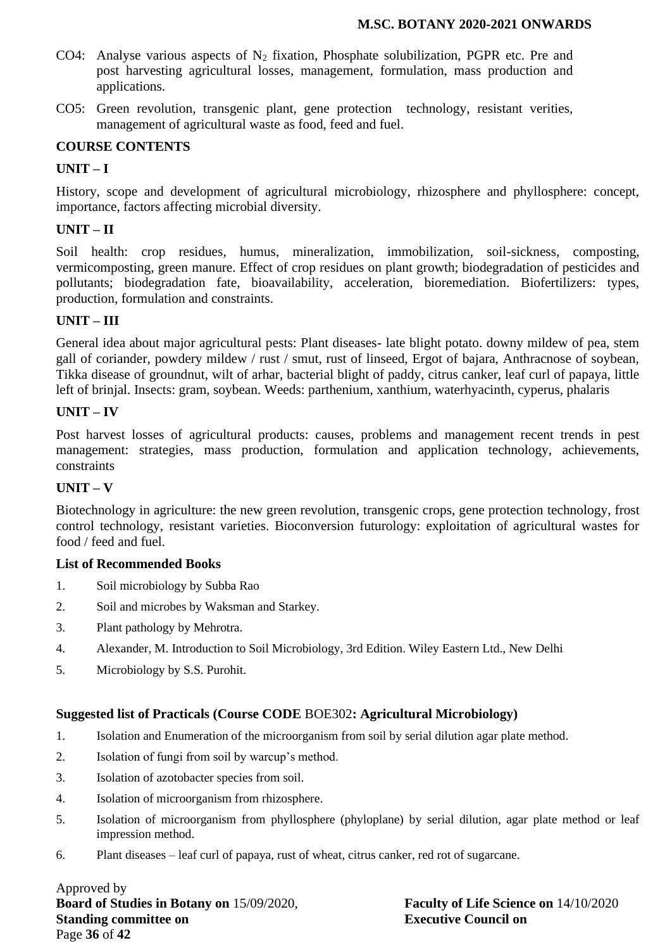- CO4: Analyse various aspects of  $N_2$  fixation, Phosphate solubilization, PGPR etc. Pre and post harvesting agricultural losses, management, formulation, mass production and applications.
- CO5: Green revolution, transgenic plant, gene protection technology, resistant verities, management of agricultural waste as food, feed and fuel.

#### **COURSE CONTENTS**

#### **UNIT – I**

History, scope and development of agricultural microbiology, rhizosphere and phyllosphere: concept, importance, factors affecting microbial diversity.

#### **UNIT – II**

Soil health: crop residues, humus, mineralization, immobilization, soil-sickness, composting, vermicomposting, green manure. Effect of crop residues on plant growth; biodegradation of pesticides and pollutants; biodegradation fate, bioavailability, acceleration, bioremediation. Biofertilizers: types, production, formulation and constraints.

## **UNIT – III**

General idea about major agricultural pests: Plant diseases- late blight potato. downy mildew of pea, stem gall of coriander, powdery mildew / rust / smut, rust of linseed, Ergot of bajara, Anthracnose of soybean, Tikka disease of groundnut, wilt of arhar, bacterial blight of paddy, citrus canker, leaf curl of papaya, little left of brinjal. Insects: gram, soybean. Weeds: parthenium, xanthium, waterhyacinth, cyperus, phalaris

#### **UNIT – IV**

Post harvest losses of agricultural products: causes, problems and management recent trends in pest management: strategies, mass production, formulation and application technology, achievements, constraints

#### **UNIT – V**

Biotechnology in agriculture: the new green revolution, transgenic crops, gene protection technology, frost control technology, resistant varieties. Bioconversion futurology: exploitation of agricultural wastes for food / feed and fuel.

#### **List of Recommended Books**

- 1. Soil microbiology by Subba Rao
- 2. Soil and microbes by Waksman and Starkey.
- 3. Plant pathology by Mehrotra.
- 4. Alexander, M. Introduction to Soil Microbiology, 3rd Edition. Wiley Eastern Ltd., New Delhi
- 5. Microbiology by S.S. Purohit.

#### **Suggested list of Practicals (Course CODE** BOE302**: Agricultural Microbiology)**

- 1. Isolation and Enumeration of the microorganism from soil by serial dilution agar plate method.
- 2. Isolation of fungi from soil by warcup's method.
- 3. Isolation of azotobacter species from soil.
- 4. Isolation of microorganism from rhizosphere.
- 5. Isolation of microorganism from phyllosphere (phyloplane) by serial dilution, agar plate method or leaf impression method.
- 6. Plant diseases leaf curl of papaya, rust of wheat, citrus canker, red rot of sugarcane.

Approved by **Board of Studies in Botany on** 15/09/2020, **Faculty of Life Science on** 14/10/2020 **Standing committee on Executive Council on** Page **36** of **42**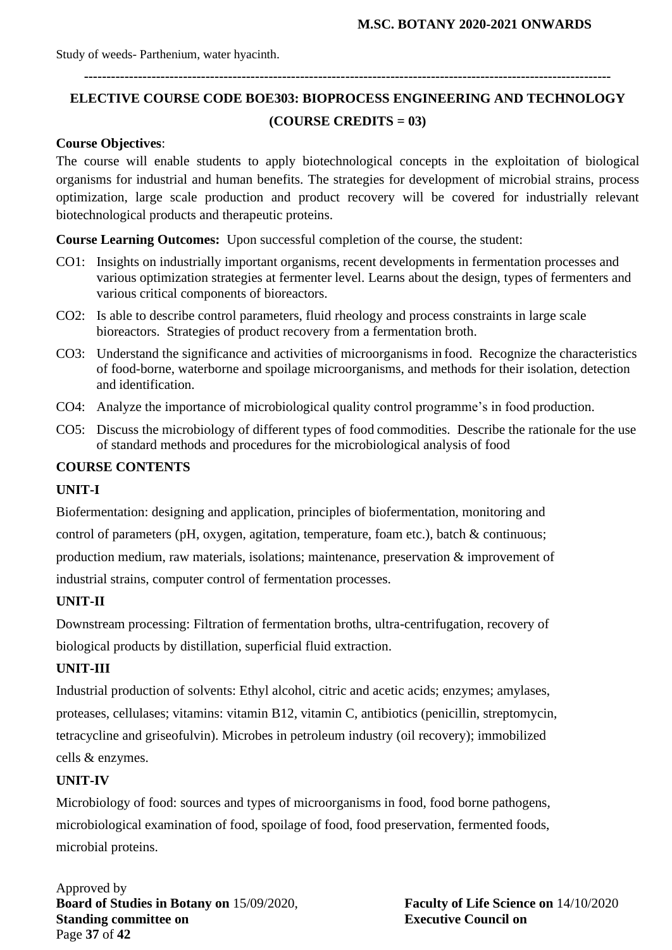**---------------------------------------------------------------------------------------------------------------------**

# **ELECTIVE COURSE CODE BOE303: BIOPROCESS ENGINEERING AND TECHNOLOGY (COURSE CREDITS = 03)**

#### **Course Objectives**:

The course will enable students to apply biotechnological concepts in the exploitation of biological organisms for industrial and human benefits. The strategies for development of microbial strains, process optimization, large scale production and product recovery will be covered for industrially relevant biotechnological products and therapeutic proteins.

**Course Learning Outcomes:** Upon successful completion of the course, the student:

- CO1: Insights on industrially important organisms, recent developments in fermentation processes and various optimization strategies at fermenter level. Learns about the design, types of fermenters and various critical components of bioreactors.
- CO2: Is able to describe control parameters, fluid rheology and process constraints in large scale bioreactors. Strategies of product recovery from a fermentation broth.
- CO3: Understand the significance and activities of microorganisms in food. Recognize the characteristics of food-borne, waterborne and spoilage microorganisms, and methods for their isolation, detection and identification.
- CO4: Analyze the importance of microbiological quality control programme's in food production.
- CO5: Discuss the microbiology of different types of food commodities. Describe the rationale for the use of standard methods and procedures for the microbiological analysis of food

#### **COURSE CONTENTS**

#### **UNIT-I**

Biofermentation: designing and application, principles of biofermentation, monitoring and control of parameters (pH, oxygen, agitation, temperature, foam etc.), batch & continuous; production medium, raw materials, isolations; maintenance, preservation & improvement of industrial strains, computer control of fermentation processes.

#### **UNIT-II**

Downstream processing: Filtration of fermentation broths, ultra-centrifugation, recovery of biological products by distillation, superficial fluid extraction.

#### **UNIT-III**

Industrial production of solvents: Ethyl alcohol, citric and acetic acids; enzymes; amylases, proteases, cellulases; vitamins: vitamin B12, vitamin C, antibiotics (penicillin, streptomycin, tetracycline and griseofulvin). Microbes in petroleum industry (oil recovery); immobilized cells & enzymes.

#### **UNIT-IV**

Microbiology of food: sources and types of microorganisms in food, food borne pathogens, microbiological examination of food, spoilage of food, food preservation, fermented foods, microbial proteins.

Approved by **Board of Studies in Botany on** 15/09/2020, **Faculty of Life Science on** 14/10/2020 **Standing committee on Executive Council on** Page **37** of **42**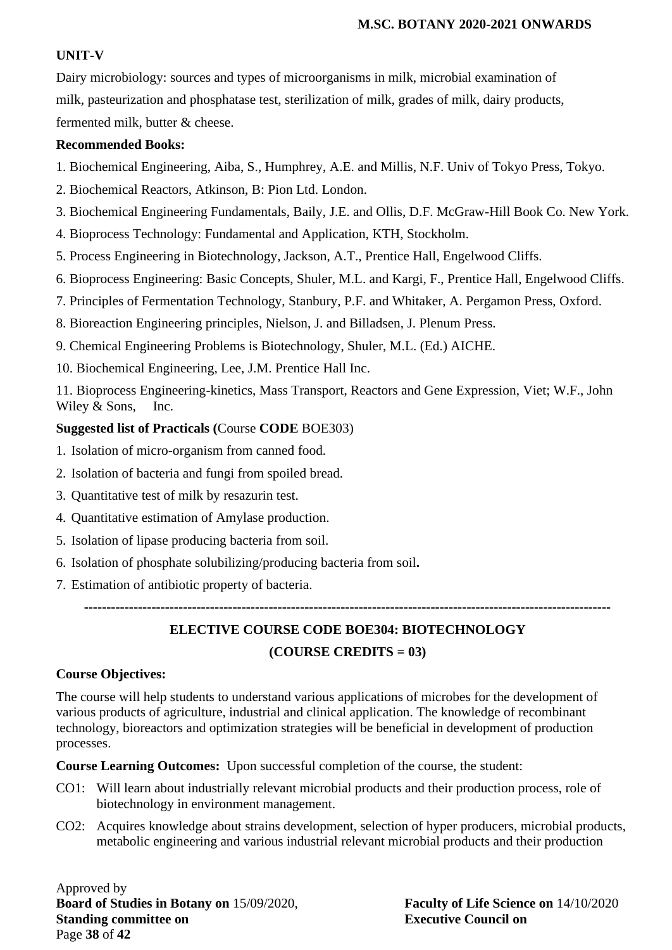#### **UNIT-V**

Dairy microbiology: sources and types of microorganisms in milk, microbial examination of milk, pasteurization and phosphatase test, sterilization of milk, grades of milk, dairy products, fermented milk, butter & cheese.

#### **Recommended Books:**

- 1. Biochemical Engineering, Aiba, S., Humphrey, A.E. and Millis, N.F. Univ of Tokyo Press, Tokyo.
- 2. Biochemical Reactors, Atkinson, B: Pion Ltd. London.
- 3. Biochemical Engineering Fundamentals, Baily, J.E. and Ollis, D.F. McGraw-Hill Book Co. New York.
- 4. Bioprocess Technology: Fundamental and Application, KTH, Stockholm.
- 5. Process Engineering in Biotechnology, Jackson, A.T., Prentice Hall, Engelwood Cliffs.
- 6. Bioprocess Engineering: Basic Concepts, Shuler, M.L. and Kargi, F., Prentice Hall, Engelwood Cliffs.
- 7. Principles of Fermentation Technology, Stanbury, P.F. and Whitaker, A. Pergamon Press, Oxford.
- 8. Bioreaction Engineering principles, Nielson, J. and Billadsen, J. Plenum Press.
- 9. Chemical Engineering Problems is Biotechnology, Shuler, M.L. (Ed.) AICHE.
- 10. Biochemical Engineering, Lee, J.M. Prentice Hall Inc.

11. Bioprocess Engineering-kinetics, Mass Transport, Reactors and Gene Expression, Viet; W.F., John Wiley & Sons, Inc.

#### **Suggested list of Practicals (**Course **CODE** BOE303)

- 1. Isolation of micro-organism from canned food.
- 2. Isolation of bacteria and fungi from spoiled bread.
- 3. Quantitative test of milk by resazurin test.
- 4. Quantitative estimation of Amylase production.
- 5. Isolation of lipase producing bacteria from soil.
- 6. Isolation of phosphate solubilizing/producing bacteria from soil**.**
- 7. Estimation of antibiotic property of bacteria.

**---------------------------------------------------------------------------------------------------------------------**

# **ELECTIVE COURSE CODE BOE304: BIOTECHNOLOGY**

#### **(COURSE CREDITS = 03)**

#### **Course Objectives:**

The course will help students to understand various applications of microbes for the development of various products of agriculture, industrial and clinical application. The knowledge of recombinant technology, bioreactors and optimization strategies will be beneficial in development of production processes.

**Course Learning Outcomes:** Upon successful completion of the course, the student:

- CO1: Will learn about industrially relevant microbial products and their production process, role of biotechnology in environment management.
- CO2: Acquires knowledge about strains development, selection of hyper producers, microbial products, metabolic engineering and various industrial relevant microbial products and their production

Approved by **Board of Studies in Botany on** 15/09/2020, **Faculty of Life Science on** 14/10/2020 **Standing committee on Executive Council on** Page **38** of **42**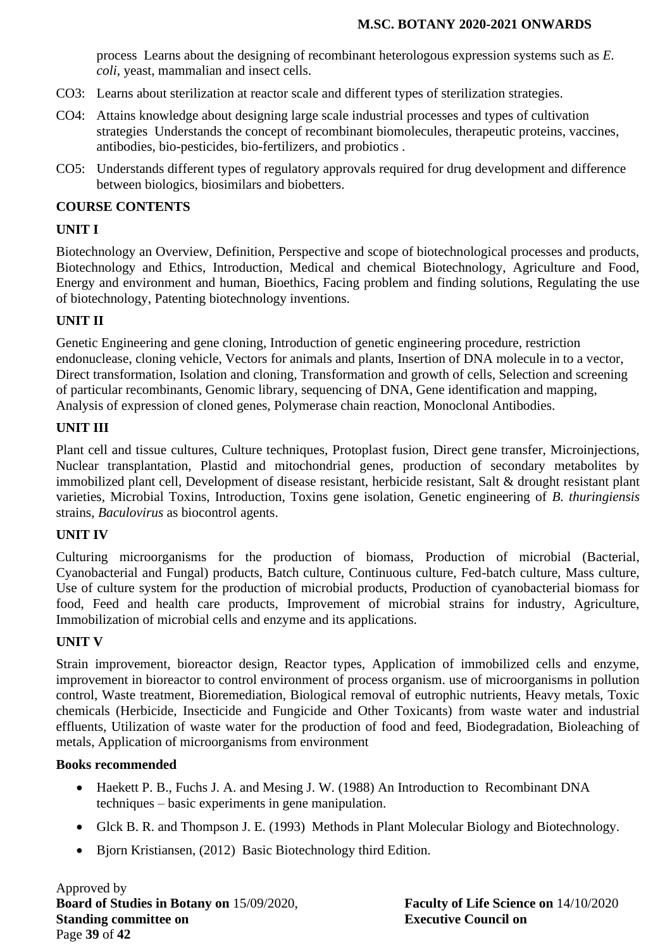process Learns about the designing of recombinant heterologous expression systems such as *E. coli*, yeast, mammalian and insect cells.

- CO3: Learns about sterilization at reactor scale and different types of sterilization strategies.
- CO4: Attains knowledge about designing large scale industrial processes and types of cultivation strategies Understands the concept of recombinant biomolecules, therapeutic proteins, vaccines, antibodies, bio-pesticides, bio-fertilizers, and probiotics .
- CO5: Understands different types of regulatory approvals required for drug development and difference between biologics, biosimilars and biobetters.

#### **COURSE CONTENTS**

### **UNIT I**

Biotechnology an Overview, Definition, Perspective and scope of biotechnological processes and products, Biotechnology and Ethics, Introduction, Medical and chemical Biotechnology, Agriculture and Food, Energy and environment and human, Bioethics, Facing problem and finding solutions, Regulating the use of biotechnology, Patenting biotechnology inventions.

## **UNIT II**

Genetic Engineering and gene cloning, Introduction of genetic engineering procedure, restriction endonuclease, cloning vehicle, Vectors for animals and plants, Insertion of DNA molecule in to a vector, Direct transformation, Isolation and cloning, Transformation and growth of cells, Selection and screening of particular recombinants, Genomic library, sequencing of DNA, Gene identification and mapping, Analysis of expression of cloned genes, Polymerase chain reaction, Monoclonal Antibodies.

#### **UNIT III**

Plant cell and tissue cultures, Culture techniques, Protoplast fusion, Direct gene transfer, Microinjections, Nuclear transplantation, Plastid and mitochondrial genes, production of secondary metabolites by immobilized plant cell, Development of disease resistant, herbicide resistant, Salt & drought resistant plant varieties, Microbial Toxins, Introduction, Toxins gene isolation, Genetic engineering of *B. thuringiensis* strains, *Baculovirus* as biocontrol agents.

#### **UNIT IV**

Culturing microorganisms for the production of biomass, Production of microbial (Bacterial, Cyanobacterial and Fungal) products, Batch culture, Continuous culture, Fed-batch culture, Mass culture, Use of culture system for the production of microbial products, Production of cyanobacterial biomass for food, Feed and health care products, Improvement of microbial strains for industry, Agriculture, Immobilization of microbial cells and enzyme and its applications.

#### **UNIT V**

Strain improvement, bioreactor design, Reactor types, Application of immobilized cells and enzyme, improvement in bioreactor to control environment of process organism. use of microorganisms in pollution control, Waste treatment, Bioremediation, Biological removal of eutrophic nutrients, Heavy metals, Toxic chemicals (Herbicide, Insecticide and Fungicide and Other Toxicants) from waste water and industrial effluents, Utilization of waste water for the production of food and feed, Biodegradation, Bioleaching of metals, Application of microorganisms from environment

#### **Books recommended**

- Haekett P. B., Fuchs J. A. and Mesing J. W. (1988) An Introduction to Recombinant DNA techniques – basic experiments in gene manipulation.
- Glck B. R. and Thompson J. E. (1993) Methods in Plant Molecular Biology and Biotechnology.
- Bjorn Kristiansen, (2012) Basic Biotechnology third Edition.

Approved by **Board of Studies in Botany on** 15/09/2020, **Faculty of Life Science on** 14/10/2020 **Standing committee on Executive Council on** Page **39** of **42**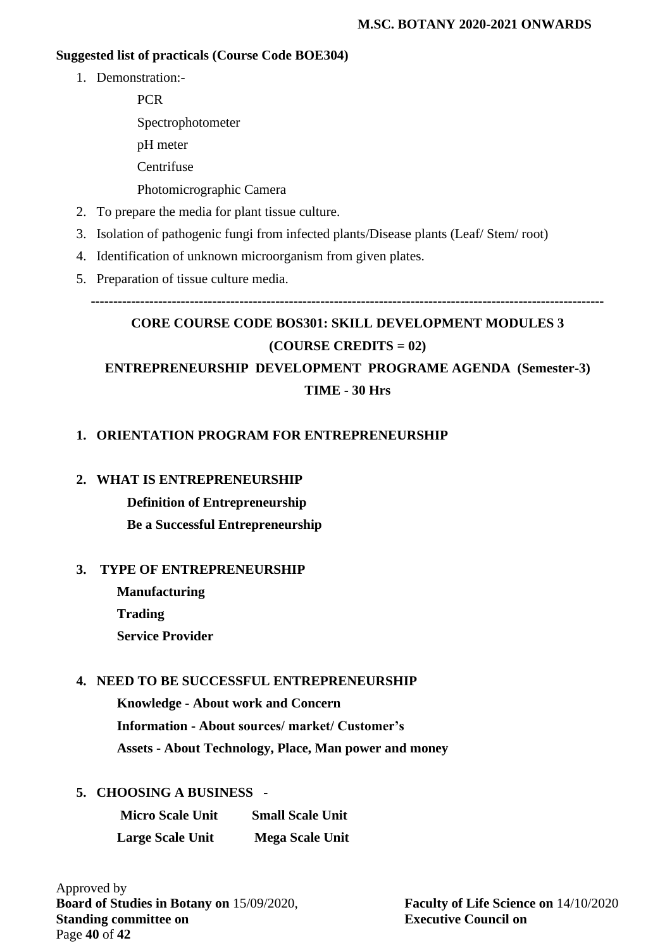## **Suggested list of practicals (Course Code BOE304)**

- 1. Demonstration:-
	- **PCR** Spectrophotometer pH meter **Centrifuse** Photomicrographic Camera
- 2. To prepare the media for plant tissue culture.
- 3. Isolation of pathogenic fungi from infected plants/Disease plants (Leaf/ Stem/ root)
- 4. Identification of unknown microorganism from given plates.
- 5. Preparation of tissue culture media.

**------------------------------------------------------------------------------------------------------------------**

# **CORE COURSE CODE BOS301: SKILL DEVELOPMENT MODULES 3 (COURSE CREDITS = 02) ENTREPRENEURSHIP DEVELOPMENT PROGRAME AGENDA (Semester-3)**

## **TIME - 30 Hrs**

## **1. ORIENTATION PROGRAM FOR ENTREPRENEURSHIP**

#### **2. WHAT IS ENTREPRENEURSHIP**

 **Definition of Entrepreneurship Be a Successful Entrepreneurship**

#### **3. TYPE OF ENTREPRENEURSHIP**

 **Manufacturing Trading Service Provider**

## **4. NEED TO BE SUCCESSFUL ENTREPRENEURSHIP**

**Knowledge - About work and Concern Information - About sources/ market/ Customer's Assets - About Technology, Place, Man power and money**

## **5. CHOOSING A BUSINESS -**

| <b>Micro Scale Unit</b> | <b>Small Scale Unit</b> |
|-------------------------|-------------------------|
| <b>Large Scale Unit</b> | <b>Mega Scale Unit</b>  |

Approved by **Board of Studies in Botany on** 15/09/2020, **Faculty of Life Science on** 14/10/2020 **Standing committee on Executive Council on** Page **40** of **42**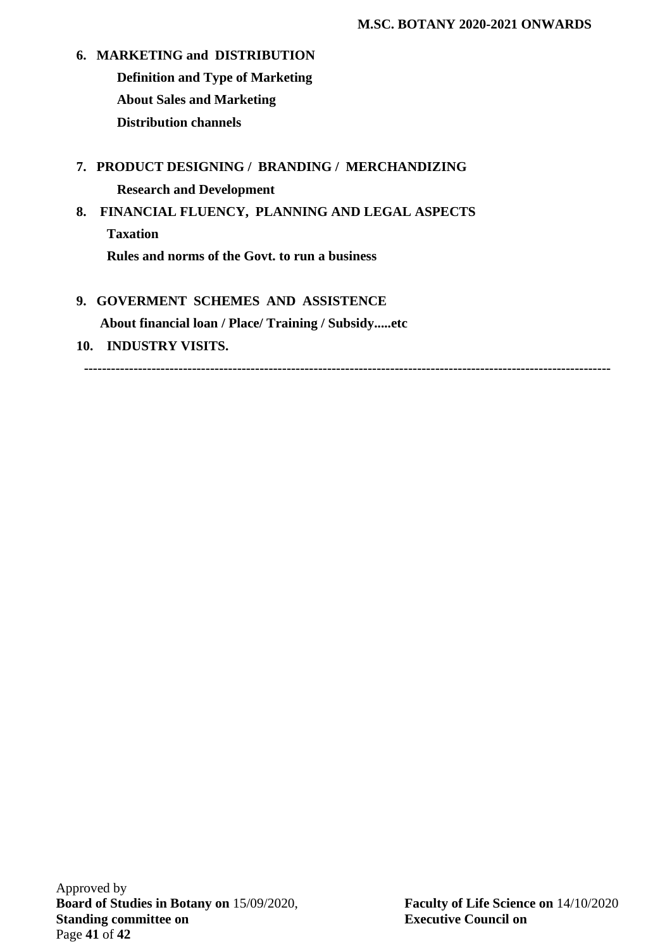- **6. MARKETING and DISTRIBUTION Definition and Type of Marketing About Sales and Marketing Distribution channels**
- **7. PRODUCT DESIGNING / BRANDING / MERCHANDIZING Research and Development**
- **8. FINANCIAL FLUENCY, PLANNING AND LEGAL ASPECTS Taxation Rules and norms of the Govt. to run a business**
- **9. GOVERMENT SCHEMES AND ASSISTENCE**

 **About financial loan / Place/ Training / Subsidy.....etc**

**10. INDUSTRY VISITS.**

**---------------------------------------------------------------------------------------------------------------------**